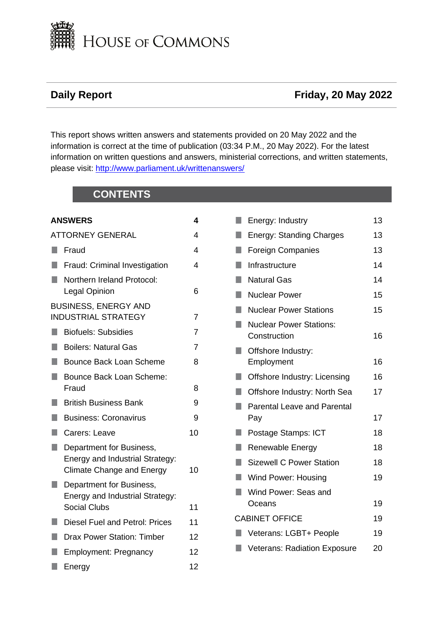

# **Daily Report Contract Contract Contract Contract Contract Contract Contract Contract Contract Contract Contract Contract Contract Contract Contract Contract Contract Contract Contract Contract Contract Contract Contract**

This report shows written answers and statements provided on 20 May 2022 and the information is correct at the time of publication (03:34 P.M., 20 May 2022). For the latest information on written questions and answers, ministerial corrections, and written statements, please visit: [http://www.parliament.uk/writtenanswers/](http://www.parliament.uk/writtenanswers)

# **CONTENTS**

|     | <b>ANSWERS</b>                                                                                  | 4  |
|-----|-------------------------------------------------------------------------------------------------|----|
|     | <b>ATTORNEY GENERAL</b>                                                                         | 4  |
| a a | Fraud                                                                                           | 4  |
|     | Fraud: Criminal Investigation                                                                   | 4  |
|     | Northern Ireland Protocol:<br>Legal Opinion                                                     | 6  |
|     | <b>BUSINESS, ENERGY AND</b><br><b>INDUSTRIAL STRATEGY</b>                                       | 7  |
| ٠   | <b>Biofuels: Subsidies</b>                                                                      | 7  |
| ×.  | <b>Boilers: Natural Gas</b>                                                                     | 7  |
| ×.  | <b>Bounce Back Loan Scheme</b>                                                                  | 8  |
| ٠   | <b>Bounce Back Loan Scheme:</b><br>Fraud                                                        | 8  |
| H   | <b>British Business Bank</b>                                                                    | 9  |
| ٠   | <b>Business: Coronavirus</b>                                                                    | 9  |
|     | Carers: Leave                                                                                   | 10 |
| ٠   | Department for Business,<br>Energy and Industrial Strategy:<br><b>Climate Change and Energy</b> | 10 |
|     | Department for Business,<br>Energy and Industrial Strategy:<br><b>Social Clubs</b>              | 11 |
| H   | <b>Diesel Fuel and Petrol: Prices</b>                                                           | 11 |
|     | <b>Drax Power Station: Timber</b>                                                               | 12 |
|     | <b>Employment: Pregnancy</b>                                                                    | 12 |
| ×.  | Energy                                                                                          | 12 |

|    | Energy: Industry                               | 13 |
|----|------------------------------------------------|----|
|    | <b>Energy: Standing Charges</b>                | 13 |
|    | <b>Foreign Companies</b>                       | 13 |
|    | Infrastructure                                 | 14 |
| ×. | <b>Natural Gas</b>                             | 14 |
|    | <b>Nuclear Power</b>                           | 15 |
|    | <b>Nuclear Power Stations</b>                  | 15 |
|    | <b>Nuclear Power Stations:</b><br>Construction | 16 |
|    | Offshore Industry:                             |    |
|    | Employment                                     | 16 |
|    | Offshore Industry: Licensing                   | 16 |
|    | Offshore Industry: North Sea                   | 17 |
|    | <b>Parental Leave and Parental</b><br>Pay      | 17 |
|    | Postage Stamps: ICT                            | 18 |
| H  | Renewable Energy                               | 18 |
| ٠  | <b>Sizewell C Power Station</b>                | 18 |
|    | <b>Wind Power: Housing</b>                     | 19 |
|    | Wind Power: Seas and<br>Oceans                 | 19 |
|    | <b>CABINET OFFICE</b>                          | 19 |
|    | Veterans: LGBT+ People                         | 19 |
|    | <b>Veterans: Radiation Exposure</b>            | 20 |
|    |                                                |    |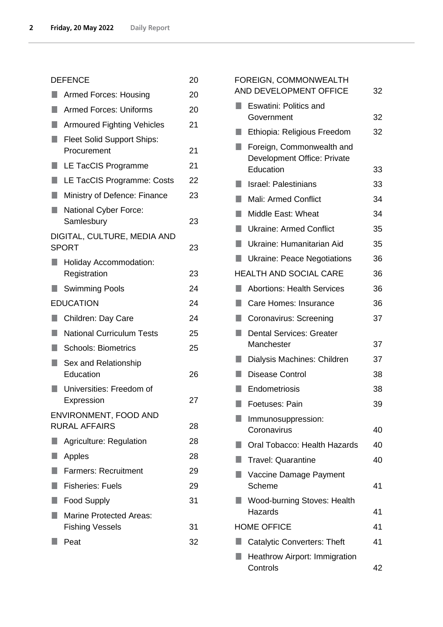| <b>DEFENCE</b>   |                                                  |    |  |
|------------------|--------------------------------------------------|----|--|
|                  | <b>Armed Forces: Housing</b>                     |    |  |
| ٠                | <b>Armed Forces: Uniforms</b>                    | 20 |  |
| ٩                | <b>Armoured Fighting Vehicles</b>                | 21 |  |
| ٠                | <b>Fleet Solid Support Ships:</b><br>Procurement | 21 |  |
|                  | LE TacCIS Programme                              | 21 |  |
| ٠                | LE TacCIS Programme: Costs                       | 22 |  |
| ٠                | Ministry of Defence: Finance                     | 23 |  |
| H.               | <b>National Cyber Force:</b><br>Samlesbury       | 23 |  |
|                  | DIGITAL, CULTURE, MEDIA AND<br><b>SPORT</b>      | 23 |  |
|                  | <b>Holiday Accommodation:</b>                    |    |  |
|                  | Registration                                     | 23 |  |
|                  | <b>Swimming Pools</b>                            | 24 |  |
| <b>EDUCATION</b> |                                                  | 24 |  |
|                  | Children: Day Care                               | 24 |  |
| ٠                | <b>National Curriculum Tests</b>                 | 25 |  |
| ٠                | <b>Schools: Biometrics</b>                       | 25 |  |
| Ū.               | Sex and Relationship<br>Education                | 26 |  |
|                  | Universities: Freedom of<br>Expression           | 27 |  |
|                  | ENVIRONMENT, FOOD AND                            |    |  |
|                  | <b>RURAL AFFAIRS</b>                             | 28 |  |
|                  | <b>Agriculture: Regulation</b>                   | 28 |  |
|                  | Apples                                           | 28 |  |
| ٠                | <b>Farmers: Recruitment</b>                      | 29 |  |
|                  | <b>Fisheries: Fuels</b>                          | 29 |  |
| H.               | <b>Food Supply</b>                               | 31 |  |
|                  | <b>Marine Protected Areas:</b>                   |    |  |
|                  | <b>Fishing Vessels</b>                           | 31 |  |
|                  | Peat                                             | 32 |  |

|    | FOREIGN, COMMONWEALTH<br>AND DEVELOPMENT OFFICE                       | 32 |
|----|-----------------------------------------------------------------------|----|
|    | <b>Eswatini: Politics and</b><br>Government                           | 32 |
|    | Ethiopia: Religious Freedom                                           | 32 |
|    | Foreign, Commonwealth and<br>Development Office: Private<br>Education | 33 |
|    | <b>Israel: Palestinians</b>                                           | 33 |
|    | Mali: Armed Conflict                                                  | 34 |
| ٠  | Middle East: Wheat                                                    | 34 |
| ×. | <b>Ukraine: Armed Conflict</b>                                        | 35 |
| ٠  | Ukraine: Humanitarian Aid                                             | 35 |
|    | <b>Ukraine: Peace Negotiations</b>                                    | 36 |
|    | <b>HEALTH AND SOCIAL CARE</b>                                         | 36 |
|    | <b>Abortions: Health Services</b>                                     | 36 |
| ×. | Care Homes: Insurance                                                 | 36 |
|    | Coronavirus: Screening                                                | 37 |
|    | <b>Dental Services: Greater</b>                                       |    |
|    | Manchester                                                            | 37 |
|    | Dialysis Machines: Children                                           | 37 |
|    | <b>Disease Control</b>                                                | 38 |
|    | Endometriosis                                                         | 38 |
|    | Foetuses: Pain                                                        | 39 |
|    | Immunosuppression:<br>Coronavirus                                     | 40 |
|    | Oral Tobacco: Health Hazards                                          | 40 |
|    | <b>Travel: Quarantine</b>                                             | 40 |
|    | Vaccine Damage Payment<br>Scheme                                      | 41 |
|    | <b>Wood-burning Stoves: Health</b><br>Hazards                         | 41 |
|    | <b>HOME OFFICE</b>                                                    | 41 |
|    | <b>Catalytic Converters: Theft</b>                                    | 41 |
|    | <b>Heathrow Airport: Immigration</b><br>Controls                      | 42 |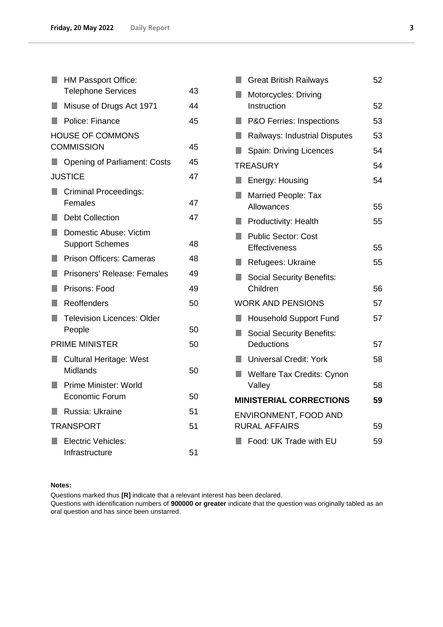| H.  | <b>HM Passport Office:</b>                       |    |
|-----|--------------------------------------------------|----|
|     | <b>Telephone Services</b>                        | 43 |
| a.  | Misuse of Drugs Act 1971                         | 44 |
| H.  | Police: Finance                                  | 45 |
|     | <b>HOUSE OF COMMONS</b><br><b>COMMISSION</b>     | 45 |
|     | ■ Opening of Parliament: Costs                   | 45 |
|     | <b>JUSTICE</b>                                   | 47 |
| H.  | <b>Criminal Proceedings:</b><br>Females          | 47 |
| l a | <b>Debt Collection</b>                           | 47 |
| u.  | Domestic Abuse: Victim<br><b>Support Schemes</b> | 48 |
| H.  | <b>Prison Officers: Cameras</b>                  | 48 |
| I.  | Prisoners' Release: Females                      | 49 |
| ٠   | Prisons: Food                                    | 49 |
| ۰   | Reoffenders                                      | 50 |
| H   | <b>Television Licences: Older</b><br>People      | 50 |
|     | <b>PRIME MINISTER</b>                            | 50 |
| H.  | <b>Cultural Heritage: West</b><br>Midlands       | 50 |
| ٠   | Prime Minister: World<br>Economic Forum          | 50 |
| L.  | Russia: Ukraine                                  | 51 |
|     | <b>TRANSPORT</b>                                 | 51 |
| H.  | Electric Vehicles:                               |    |
|     | Infrastructure                                   | 51 |

| H      | <b>Great British Railways</b>       | 52 |
|--------|-------------------------------------|----|
| ×.     | Motorcycles: Driving                |    |
|        | Instruction                         | 52 |
| L.     | <b>P&amp;O Ferries: Inspections</b> | 53 |
| ш      | Railways: Industrial Disputes       | 53 |
| $\Box$ | Spain: Driving Licences             | 54 |
|        | <b>TREASURY</b>                     | 54 |
| L.     | Energy: Housing                     | 54 |
| ٠      | Married People: Tax                 |    |
|        | Allowances                          | 55 |
| L.     | Productivity: Health                | 55 |
| П      | <b>Public Sector: Cost</b>          |    |
|        | <b>Effectiveness</b>                | 55 |
| L.     | Refugees: Ukraine                   | 55 |
| H      | <b>Social Security Benefits:</b>    |    |
|        | Children                            | 56 |
|        | <b>WORK AND PENSIONS</b>            | 57 |
| ш      | <b>Household Support Fund</b>       | 57 |
| ٠      | <b>Social Security Benefits:</b>    |    |
|        | <b>Deductions</b>                   | 57 |
| ш      | <b>Universal Credit: York</b>       | 58 |
| H.     | <b>Welfare Tax Credits: Cynon</b>   |    |
|        | Valley                              | 58 |
|        | <b>MINISTERIAL CORRECTIONS</b>      | 59 |
|        | ENVIRONMENT, FOOD AND               |    |
|        | <b>RURAL AFFAIRS</b>                | 59 |
|        | Food: UK Trade with EU              | 59 |
|        |                                     |    |

#### **Notes:**

Questions marked thus **[R]** indicate that a relevant interest has been declared. Questions with identification numbers of **900000 or greater** indicate that the question was originally tabled as an oral question and has since been unstarred.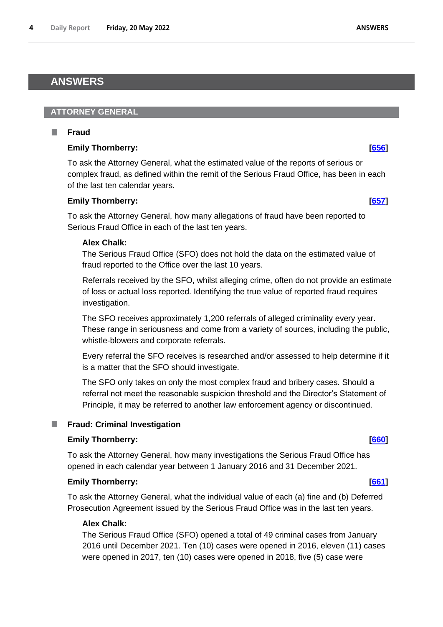## <span id="page-3-0"></span>**ANSWERS**

### <span id="page-3-1"></span>**ATTORNEY GENERAL**

#### <span id="page-3-2"></span>п **Fraud**

## **Emily Thornberry: [\[656\]](http://www.parliament.uk/business/publications/written-questions-answers-statements/written-question/Commons/2022-05-11/656)**

To ask the Attorney General, what the estimated value of the reports of serious or complex fraud, as defined within the remit of the Serious Fraud Office, has been in each of the last ten calendar years.

### **Emily Thornberry: [\[657\]](http://www.parliament.uk/business/publications/written-questions-answers-statements/written-question/Commons/2022-05-11/657)**

To ask the Attorney General, how many allegations of fraud have been reported to Serious Fraud Office in each of the last ten years.

### **Alex Chalk:**

The Serious Fraud Office (SFO) does not hold the data on the estimated value of fraud reported to the Office over the last 10 years.

Referrals received by the SFO, whilst alleging crime, often do not provide an estimate of loss or actual loss reported. Identifying the true value of reported fraud requires investigation.

The SFO receives approximately 1,200 referrals of alleged criminality every year. These range in seriousness and come from a variety of sources, including the public, whistle-blowers and corporate referrals.

Every referral the SFO receives is researched and/or assessed to help determine if it is a matter that the SFO should investigate.

The SFO only takes on only the most complex fraud and bribery cases. Should a referral not meet the reasonable suspicion threshold and the Director's Statement of Principle, it may be referred to another law enforcement agency or discontinued.

#### <span id="page-3-3"></span>**Fraud: Criminal Investigation**

## **Emily Thornberry:** *CGO*

To ask the Attorney General, how many investigations the Serious Fraud Office has opened in each calendar year between 1 January 2016 and 31 December 2021.

#### **Emily Thornberry: [\[661\]](http://www.parliament.uk/business/publications/written-questions-answers-statements/written-question/Commons/2022-05-11/661)**

To ask the Attorney General, what the individual value of each (a) fine and (b) Deferred Prosecution Agreement issued by the Serious Fraud Office was in the last ten years.

#### **Alex Chalk:**

The Serious Fraud Office (SFO) opened a total of 49 criminal cases from January 2016 until December 2021. Ten (10) cases were opened in 2016, eleven (11) cases were opened in 2017, ten (10) cases were opened in 2018, five (5) case were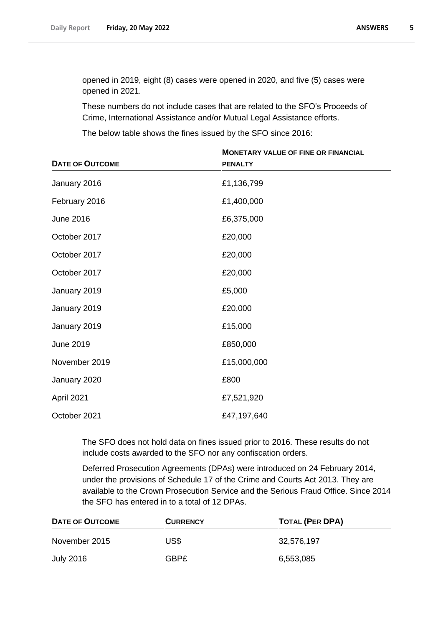opened in 2019, eight (8) cases were opened in 2020, and five (5) cases were opened in 2021.

These numbers do not include cases that are related to the SFO's Proceeds of Crime, International Assistance and/or Mutual Legal Assistance efforts.

The below table shows the fines issued by the SFO since 2016:

|                        | <b>MONETARY VALUE OF FINE OR FINANCIAL</b> |
|------------------------|--------------------------------------------|
| <b>DATE OF OUTCOME</b> | <b>PENALTY</b>                             |
| January 2016           | £1,136,799                                 |
| February 2016          | £1,400,000                                 |
| <b>June 2016</b>       | £6,375,000                                 |
| October 2017           | £20,000                                    |
| October 2017           | £20,000                                    |
| October 2017           | £20,000                                    |
| January 2019           | £5,000                                     |
| January 2019           | £20,000                                    |
| January 2019           | £15,000                                    |
| <b>June 2019</b>       | £850,000                                   |
| November 2019          | £15,000,000                                |
| January 2020           | £800                                       |
| April 2021             | £7,521,920                                 |
| October 2021           | £47,197,640                                |

The SFO does not hold data on fines issued prior to 2016. These results do not include costs awarded to the SFO nor any confiscation orders.

Deferred Prosecution Agreements (DPAs) were introduced on 24 February 2014, under the provisions of Schedule 17 of the Crime and Courts Act 2013. They are available to the Crown Prosecution Service and the Serious Fraud Office. Since 2014 the SFO has entered in to a total of 12 DPAs.

| DATE OF OUTCOME | <b>CURRENCY</b> | <b>TOTAL (PER DPA)</b> |
|-----------------|-----------------|------------------------|
| November 2015   | US\$            | 32,576,197             |
| July 2016       | GBP£            | 6,553,085              |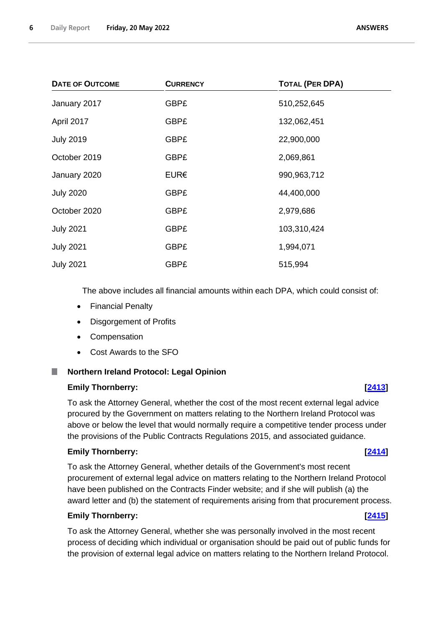| <b>DATE OF OUTCOME</b> | <b>CURRENCY</b> | <b>TOTAL (PER DPA)</b> |
|------------------------|-----------------|------------------------|
| January 2017           | <b>GBP£</b>     | 510,252,645            |
| April 2017             | <b>GBP£</b>     | 132,062,451            |
| <b>July 2019</b>       | <b>GBP£</b>     | 22,900,000             |
| October 2019           | <b>GBP£</b>     | 2,069,861              |
| January 2020           | EUR€            | 990,963,712            |
| <b>July 2020</b>       | <b>GBP£</b>     | 44,400,000             |
| October 2020           | <b>GBP£</b>     | 2,979,686              |
| <b>July 2021</b>       | GBP£            | 103,310,424            |
| <b>July 2021</b>       | <b>GBP£</b>     | 1,994,071              |
| <b>July 2021</b>       | <b>GBP£</b>     | 515,994                |

The above includes all financial amounts within each DPA, which could consist of:

- Financial Penalty
- Disgorgement of Profits
- Compensation
- Cost Awards to the SFO

## <span id="page-5-0"></span>**Northern Ireland Protocol: Legal Opinion**

#### **Emily Thornberry: [\[2413\]](http://www.parliament.uk/business/publications/written-questions-answers-statements/written-question/Commons/2022-05-16/2413)**

To ask the Attorney General, whether the cost of the most recent external legal advice procured by the Government on matters relating to the Northern Ireland Protocol was above or below the level that would normally require a competitive tender process under the provisions of the Public Contracts Regulations 2015, and associated guidance.

#### **Emily Thornberry: [\[2414\]](http://www.parliament.uk/business/publications/written-questions-answers-statements/written-question/Commons/2022-05-16/2414)**

To ask the Attorney General, whether details of the Government's most recent procurement of external legal advice on matters relating to the Northern Ireland Protocol have been published on the Contracts Finder website; and if she will publish (a) the award letter and (b) the statement of requirements arising from that procurement process.

#### **Emily Thornberry: [\[2415\]](http://www.parliament.uk/business/publications/written-questions-answers-statements/written-question/Commons/2022-05-16/2415)**

To ask the Attorney General, whether she was personally involved in the most recent process of deciding which individual or organisation should be paid out of public funds for the provision of external legal advice on matters relating to the Northern Ireland Protocol.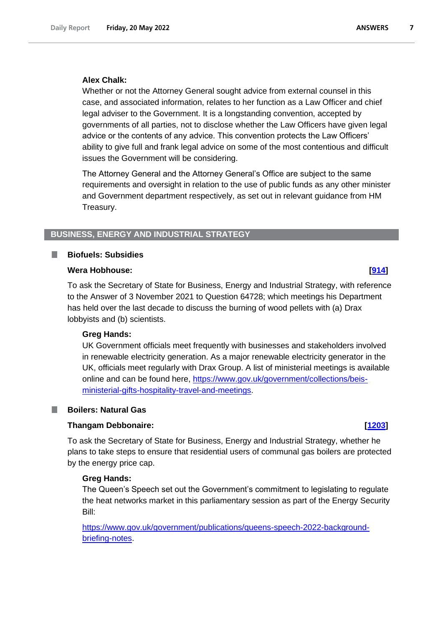#### **Alex Chalk:**

Whether or not the Attorney General sought advice from external counsel in this case, and associated information, relates to her function as a Law Officer and chief legal adviser to the Government. It is a longstanding convention, accepted by governments of all parties, not to disclose whether the Law Officers have given legal advice or the contents of any advice. This convention protects the Law Officers' ability to give full and frank legal advice on some of the most contentious and difficult issues the Government will be considering.

The Attorney General and the Attorney General's Office are subject to the same requirements and oversight in relation to the use of public funds as any other minister and Government department respectively, as set out in relevant guidance from HM Treasury.

#### <span id="page-6-0"></span>**BUSINESS, ENERGY AND INDUSTRIAL STRATEGY**

#### <span id="page-6-1"></span>**Biofuels: Subsidies**

#### **Wera Hobhouse: [\[914\]](http://www.parliament.uk/business/publications/written-questions-answers-statements/written-question/Commons/2022-05-11/914)**

To ask the Secretary of State for Business, Energy and Industrial Strategy, with reference to the Answer of 3 November 2021 to Question 64728; which meetings his Department has held over the last decade to discuss the burning of wood pellets with (a) Drax lobbyists and (b) scientists.

#### **Greg Hands:**

UK Government officials meet frequently with businesses and stakeholders involved in renewable electricity generation. As a major renewable electricity generator in the UK, officials meet regularly with Drax Group. A list of ministerial meetings is available online and can be found here, https://www.gov.uk/government/collections/beisministerial-gifts-hospitality-travel-and-meetings.

#### <span id="page-6-2"></span>**Boilers: Natural Gas**

#### **Thangam Debbonaire: [\[1203\]](http://www.parliament.uk/business/publications/written-questions-answers-statements/written-question/Commons/2022-05-12/1203)**

To ask the Secretary of State for Business, Energy and Industrial Strategy, whether he plans to take steps to ensure that residential users of communal gas boilers are protected by the energy price cap.

#### **Greg Hands:**

The Queen's Speech set out the Government's commitment to legislating to regulate the heat networks market in this parliamentary session as part of the Energy Security Bill:

[https://www.gov.uk/government/publications/queens-speech-2022-background](https://www.gov.uk/government/publications/queens-speech-2022-background-briefing-notes)[briefing-notes.](https://www.gov.uk/government/publications/queens-speech-2022-background-briefing-notes)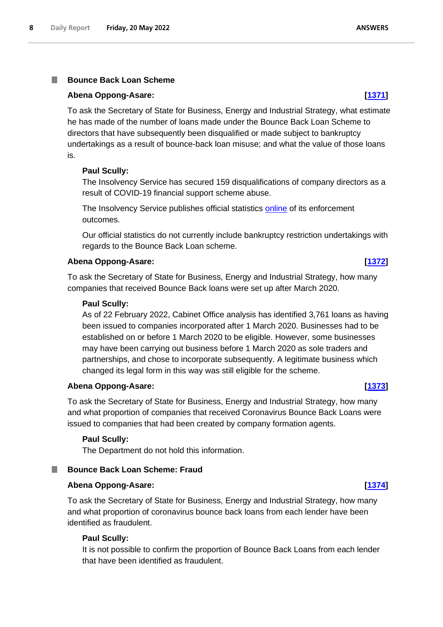## <span id="page-7-0"></span>**Bounce Back Loan Scheme**

#### **Abena Oppong-Asare: [\[1371\]](http://www.parliament.uk/business/publications/written-questions-answers-statements/written-question/Commons/2022-05-12/1371)**

To ask the Secretary of State for Business, Energy and Industrial Strategy, what estimate he has made of the number of loans made under the Bounce Back Loan Scheme to directors that have subsequently been disqualified or made subject to bankruptcy undertakings as a result of bounce-back loan misuse; and what the value of those loans is.

#### **Paul Scully:**

The Insolvency Service has secured 159 disqualifications of company directors as a result of COVID-19 financial support scheme abuse.

The Insolvency Service publishes official statistics [online](https://www.gov.uk/government/collections/insolvency-service-enforcement-outcomes?msclkid=ef7e0397d12e11ec9414c6c3c95bdbb7) of its enforcement outcomes.

Our official statistics do not currently include bankruptcy restriction undertakings with regards to the Bounce Back Loan scheme.

#### **Abena Oppong-Asare: [\[1372\]](http://www.parliament.uk/business/publications/written-questions-answers-statements/written-question/Commons/2022-05-12/1372)**

To ask the Secretary of State for Business, Energy and Industrial Strategy, how many companies that received Bounce Back loans were set up after March 2020.

#### **Paul Scully:**

As of 22 February 2022, Cabinet Office analysis has identified 3,761 loans as having been issued to companies incorporated after 1 March 2020. Businesses had to be established on or before 1 March 2020 to be eligible. However, some businesses may have been carrying out business before 1 March 2020 as sole traders and partnerships, and chose to incorporate subsequently. A legitimate business which changed its legal form in this way was still eligible for the scheme.

#### **Abena Oppong-Asare: [\[1373\]](http://www.parliament.uk/business/publications/written-questions-answers-statements/written-question/Commons/2022-05-12/1373)**

To ask the Secretary of State for Business, Energy and Industrial Strategy, how many and what proportion of companies that received Coronavirus Bounce Back Loans were issued to companies that had been created by company formation agents.

#### **Paul Scully:**

The Department do not hold this information.

## <span id="page-7-1"></span>**Bounce Back Loan Scheme: Fraud**

#### **Abena Oppong-Asare: [\[1374\]](http://www.parliament.uk/business/publications/written-questions-answers-statements/written-question/Commons/2022-05-12/1374)**

To ask the Secretary of State for Business, Energy and Industrial Strategy, how many and what proportion of coronavirus bounce back loans from each lender have been identified as fraudulent.

#### **Paul Scully:**

It is not possible to confirm the proportion of Bounce Back Loans from each lender that have been identified as fraudulent.

## **ANSWERS**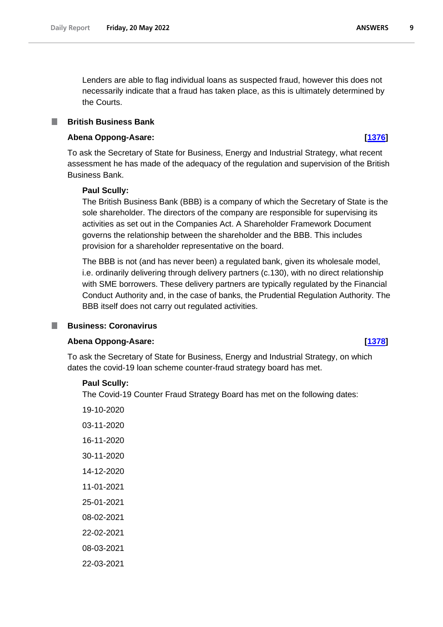Lenders are able to flag individual loans as suspected fraud, however this does not necessarily indicate that a fraud has taken place, as this is ultimately determined by the Courts.

### <span id="page-8-0"></span>**British Business Bank**

### **Abena Oppong-Asare: [\[1376\]](http://www.parliament.uk/business/publications/written-questions-answers-statements/written-question/Commons/2022-05-12/1376)**

To ask the Secretary of State for Business, Energy and Industrial Strategy, what recent assessment he has made of the adequacy of the regulation and supervision of the British Business Bank.

### **Paul Scully:**

The British Business Bank (BBB) is a company of which the Secretary of State is the sole shareholder. The directors of the company are responsible for supervising its activities as set out in the Companies Act. A Shareholder Framework Document governs the relationship between the shareholder and the BBB. This includes provision for a shareholder representative on the board.

The BBB is not (and has never been) a regulated bank, given its wholesale model, i.e. ordinarily delivering through delivery partners (c.130), with no direct relationship with SME borrowers. These delivery partners are typically regulated by the Financial Conduct Authority and, in the case of banks, the Prudential Regulation Authority. The BBB itself does not carry out regulated activities.

#### <span id="page-8-1"></span>**Business: Coronavirus**

## **Abena Oppong-Asare: [\[1378\]](http://www.parliament.uk/business/publications/written-questions-answers-statements/written-question/Commons/2022-05-12/1378)**

To ask the Secretary of State for Business, Energy and Industrial Strategy, on which dates the covid-19 loan scheme counter-fraud strategy board has met.

#### **Paul Scully:**

The Covid-19 Counter Fraud Strategy Board has met on the following dates:

19-10-2020 03-11-2020 16-11-2020 30-11-2020 14-12-2020 11-01-2021 25-01-2021 08-02-2021 22-02-2021 08-03-2021 22-03-2021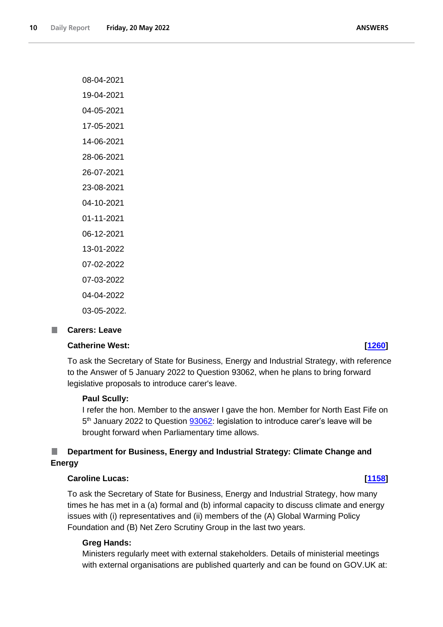**ANSWERS** 

| 08-04-2021  |
|-------------|
| 19-04-2021  |
| 04-05-2021  |
| 17-05-2021  |
| 14-06-2021  |
| 28-06-2021  |
| 26-07-2021  |
| 23-08-2021  |
| 04-10-2021  |
| 01-11-2021  |
| 06-12-2021  |
| 13-01-2022  |
| 07-02-2022  |
| 07-03-2022  |
| 04-04-2022  |
| 03-05-2022. |

#### <span id="page-9-0"></span>**Carers: Leave** n.

### **Catherine West: [\[1260\]](http://www.parliament.uk/business/publications/written-questions-answers-statements/written-question/Commons/2022-05-12/1260)**

To ask the Secretary of State for Business, Energy and Industrial Strategy, with reference to the Answer of 5 January 2022 to Question 93062, when he plans to bring forward legislative proposals to introduce carer's leave.

#### **Paul Scully:**

I refer the hon. Member to the answer I gave the hon. Member for North East Fife on 5<sup>th</sup> January 2022 to Question 93062: legislation to introduce carer's leave will be brought forward when Parliamentary time allows.

#### <span id="page-9-1"></span>П **Department for Business, Energy and Industrial Strategy: Climate Change and Energy**

#### **Caroline Lucas: [\[1158\]](http://www.parliament.uk/business/publications/written-questions-answers-statements/written-question/Commons/2022-05-12/1158)**

To ask the Secretary of State for Business, Energy and Industrial Strategy, how many times he has met in a (a) formal and (b) informal capacity to discuss climate and energy issues with (i) representatives and (ii) members of the (A) Global Warming Policy Foundation and (B) Net Zero Scrutiny Group in the last two years.

#### **Greg Hands:**

Ministers regularly meet with external stakeholders. Details of ministerial meetings with external organisations are published quarterly and can be found on GOV.UK at: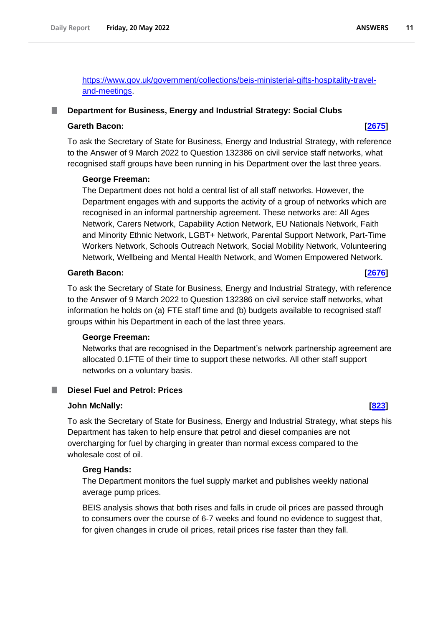https://www.gov.uk/government/collections/beis-ministerial-gifts-hospitality-traveland-meetings.

### <span id="page-10-0"></span>**Department for Business, Energy and Industrial Strategy: Social Clubs**

#### **Gareth Bacon: [\[2675\]](http://www.parliament.uk/business/publications/written-questions-answers-statements/written-question/Commons/2022-05-16/2675)**

To ask the Secretary of State for Business, Energy and Industrial Strategy, with reference to the Answer of 9 March 2022 to Question 132386 on civil service staff networks, what recognised staff groups have been running in his Department over the last three years.

#### **George Freeman:**

The Department does not hold a central list of all staff networks. However, the Department engages with and supports the activity of a group of networks which are recognised in an informal partnership agreement. These networks are: All Ages Network, Carers Network, Capability Action Network, EU Nationals Network, Faith and Minority Ethnic Network, LGBT+ Network, Parental Support Network, Part-Time Workers Network, Schools Outreach Network, Social Mobility Network, Volunteering Network, Wellbeing and Mental Health Network, and Women Empowered Network.

### **Gareth Bacon: [\[2676\]](http://www.parliament.uk/business/publications/written-questions-answers-statements/written-question/Commons/2022-05-16/2676)**

To ask the Secretary of State for Business, Energy and Industrial Strategy, with reference to the Answer of 9 March 2022 to Question 132386 on civil service staff networks, what information he holds on (a) FTE staff time and (b) budgets available to recognised staff groups within his Department in each of the last three years.

#### **George Freeman:**

Networks that are recognised in the Department's network partnership agreement are allocated 0.1FTE of their time to support these networks. All other staff support networks on a voluntary basis.

## <span id="page-10-1"></span>**Diesel Fuel and Petrol: Prices**

#### **John McNally: [\[823\]](http://www.parliament.uk/business/publications/written-questions-answers-statements/written-question/Commons/2022-05-11/823)**

To ask the Secretary of State for Business, Energy and Industrial Strategy, what steps his Department has taken to help ensure that petrol and diesel companies are not overcharging for fuel by charging in greater than normal excess compared to the wholesale cost of oil.

## **Greg Hands:**

The Department monitors the fuel supply market and publishes weekly national average pump prices.

BEIS analysis shows that both rises and falls in crude oil prices are passed through to consumers over the course of 6-7 weeks and found no evidence to suggest that, for given changes in crude oil prices, retail prices rise faster than they fall.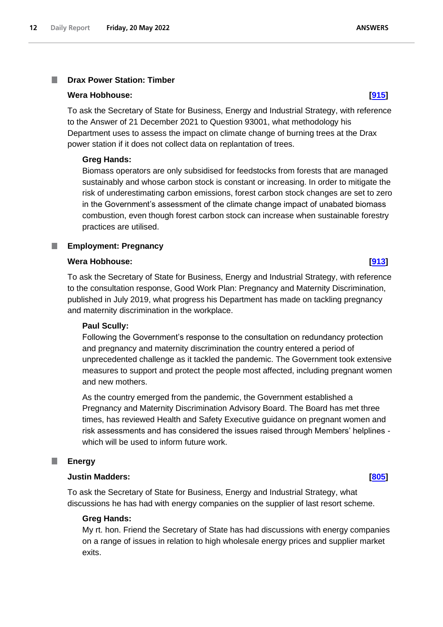#### <span id="page-11-0"></span>**Drax Power Station: Timber** T.

#### **Wera Hobhouse: [\[915\]](http://www.parliament.uk/business/publications/written-questions-answers-statements/written-question/Commons/2022-05-11/915)**

To ask the Secretary of State for Business, Energy and Industrial Strategy, with reference to the Answer of 21 December 2021 to Question 93001, what methodology his Department uses to assess the impact on climate change of burning trees at the Drax power station if it does not collect data on replantation of trees.

### **Greg Hands:**

Biomass operators are only subsidised for feedstocks from forests that are managed sustainably and whose carbon stock is constant or increasing. In order to mitigate the risk of underestimating carbon emissions, forest carbon stock changes are set to zero in the Government's assessment of the climate change impact of unabated biomass combustion, even though forest carbon stock can increase when sustainable forestry practices are utilised.

#### <span id="page-11-1"></span>**Employment: Pregnancy**

#### **Wera Hobhouse: [\[913\]](http://www.parliament.uk/business/publications/written-questions-answers-statements/written-question/Commons/2022-05-11/913)**

To ask the Secretary of State for Business, Energy and Industrial Strategy, with reference to the consultation response, Good Work Plan: Pregnancy and Maternity Discrimination, published in July 2019, what progress his Department has made on tackling pregnancy and maternity discrimination in the workplace.

#### **Paul Scully:**

Following the Government's response to the consultation on redundancy protection and pregnancy and maternity discrimination the country entered a period of unprecedented challenge as it tackled the pandemic. The Government took extensive measures to support and protect the people most affected, including pregnant women and new mothers.

As the country emerged from the pandemic, the Government established a Pregnancy and Maternity Discrimination Advisory Board. The Board has met three times, has reviewed Health and Safety Executive guidance on pregnant women and risk assessments and has considered the issues raised through Members' helplines which will be used to inform future work.

#### <span id="page-11-2"></span>П **Energy**

#### **Justin Madders: [\[805\]](http://www.parliament.uk/business/publications/written-questions-answers-statements/written-question/Commons/2022-05-11/805)**

To ask the Secretary of State for Business, Energy and Industrial Strategy, what discussions he has had with energy companies on the supplier of last resort scheme.

#### **Greg Hands:**

My rt. hon. Friend the Secretary of State has had discussions with energy companies on a range of issues in relation to high wholesale energy prices and supplier market exits.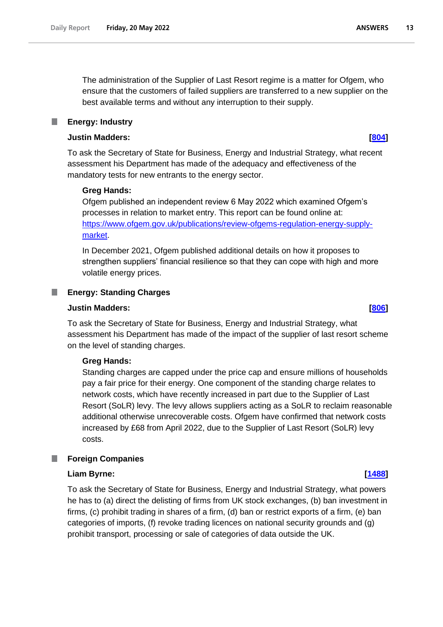The administration of the Supplier of Last Resort regime is a matter for Ofgem, who ensure that the customers of failed suppliers are transferred to a new supplier on the best available terms and without any interruption to their supply.

#### <span id="page-12-0"></span>**Energy: Industry** ш

#### **Justin Madders: [\[804\]](http://www.parliament.uk/business/publications/written-questions-answers-statements/written-question/Commons/2022-05-11/804)**

To ask the Secretary of State for Business, Energy and Industrial Strategy, what recent assessment his Department has made of the adequacy and effectiveness of the mandatory tests for new entrants to the energy sector.

#### **Greg Hands:**

Ofgem published an independent review 6 May 2022 which examined Ofgem's processes in relation to market entry. This report can be found online at: https://www.ofgem.gov.uk/publications/review-ofgems-regulation-energy-supplymarket.

In December 2021, Ofgem published additional details on how it proposes to strengthen suppliers' financial resilience so that they can cope with high and more volatile energy prices.

#### <span id="page-12-1"></span>**Energy: Standing Charges**

### **Justin Madders: [\[806\]](http://www.parliament.uk/business/publications/written-questions-answers-statements/written-question/Commons/2022-05-11/806)**

To ask the Secretary of State for Business, Energy and Industrial Strategy, what assessment his Department has made of the impact of the supplier of last resort scheme on the level of standing charges.

#### **Greg Hands:**

Standing charges are capped under the price cap and ensure millions of households pay a fair price for their energy. One component of the standing charge relates to network costs, which have recently increased in part due to the Supplier of Last Resort (SoLR) levy. The levy allows suppliers acting as a SoLR to reclaim reasonable additional otherwise unrecoverable costs. Ofgem have confirmed that network costs increased by £68 from April 2022, due to the Supplier of Last Resort (SoLR) levy costs.

#### <span id="page-12-2"></span>**Foreign Companies**

#### **Liam Byrne: [\[1488\]](http://www.parliament.uk/business/publications/written-questions-answers-statements/written-question/Commons/2022-05-13/1488)**

To ask the Secretary of State for Business, Energy and Industrial Strategy, what powers he has to (a) direct the delisting of firms from UK stock exchanges, (b) ban investment in firms, (c) prohibit trading in shares of a firm, (d) ban or restrict exports of a firm, (e) ban categories of imports, (f) revoke trading licences on national security grounds and (g) prohibit transport, processing or sale of categories of data outside the UK.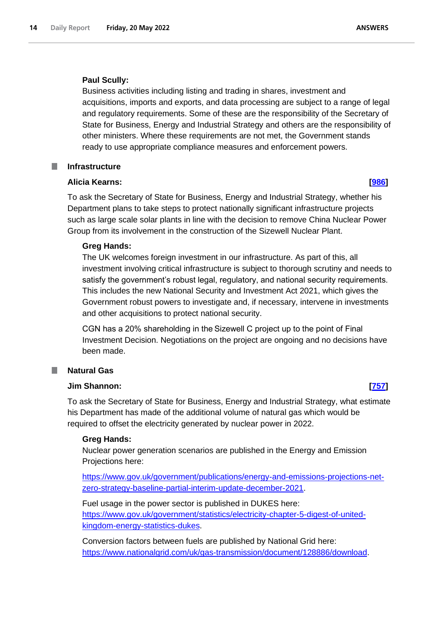#### **Paul Scully:**

Business activities including listing and trading in shares, investment and acquisitions, imports and exports, and data processing are subject to a range of legal and regulatory requirements. Some of these are the responsibility of the Secretary of State for Business, Energy and Industrial Strategy and others are the responsibility of other ministers. Where these requirements are not met, the Government stands ready to use appropriate compliance measures and enforcement powers.

#### <span id="page-13-0"></span>**Infrastructure**

### **Alicia Kearns: [\[986\]](http://www.parliament.uk/business/publications/written-questions-answers-statements/written-question/Commons/2022-05-11/986)**

To ask the Secretary of State for Business, Energy and Industrial Strategy, whether his Department plans to take steps to protect nationally significant infrastructure projects such as large scale solar plants in line with the decision to remove China Nuclear Power Group from its involvement in the construction of the Sizewell Nuclear Plant.

### **Greg Hands:**

The UK welcomes foreign investment in our infrastructure. As part of this, all investment involving critical infrastructure is subject to thorough scrutiny and needs to satisfy the government's robust legal, regulatory, and national security requirements. This includes the new National Security and Investment Act 2021, which gives the Government robust powers to investigate and, if necessary, intervene in investments and other acquisitions to protect national security.

CGN has a 20% shareholding in the Sizewell C project up to the point of Final Investment Decision. Negotiations on the project are ongoing and no decisions have been made.

## <span id="page-13-1"></span>**Natural Gas**

#### **Jim Shannon: [\[757\]](http://www.parliament.uk/business/publications/written-questions-answers-statements/written-question/Commons/2022-05-11/757)**

To ask the Secretary of State for Business, Energy and Industrial Strategy, what estimate his Department has made of the additional volume of natural gas which would be required to offset the electricity generated by nuclear power in 2022.

#### **Greg Hands:**

Nuclear power generation scenarios are published in the Energy and Emission Projections here:

[https://www.gov.uk/government/publications/energy-and-emissions-projections-net](https://www.gov.uk/government/publications/energy-and-emissions-projections-net-zero-strategy-baseline-partial-interim-update-december-2021)[zero-strategy-baseline-partial-interim-update-december-2021.](https://www.gov.uk/government/publications/energy-and-emissions-projections-net-zero-strategy-baseline-partial-interim-update-december-2021)

Fuel usage in the power sector is published in DUKES here: [https://www.gov.uk/government/statistics/electricity-chapter-5-digest-of-united](https://www.gov.uk/government/statistics/electricity-chapter-5-digest-of-united-kingdom-energy-statistics-dukes)[kingdom-energy-statistics-dukes.](https://www.gov.uk/government/statistics/electricity-chapter-5-digest-of-united-kingdom-energy-statistics-dukes)

Conversion factors between fuels are published by National Grid here: [https://www.nationalgrid.com/uk/gas-transmission/document/128886/download.](https://www.nationalgrid.com/uk/gas-transmission/document/128886/download)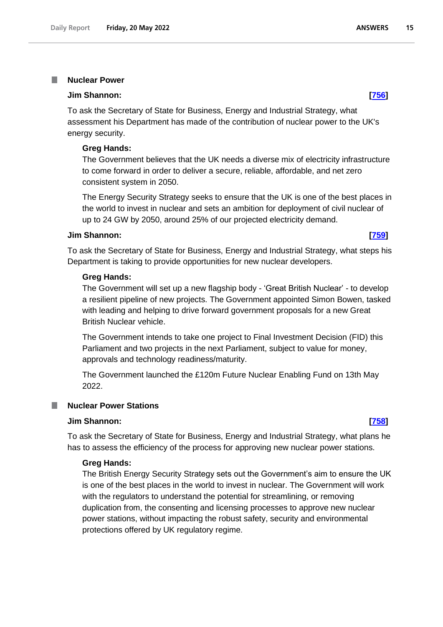#### <span id="page-14-0"></span>**Nuclear Power** I.

#### **Jim Shannon: [\[756\]](http://www.parliament.uk/business/publications/written-questions-answers-statements/written-question/Commons/2022-05-11/756)**

To ask the Secretary of State for Business, Energy and Industrial Strategy, what assessment his Department has made of the contribution of nuclear power to the UK's energy security.

#### **Greg Hands:**

The Government believes that the UK needs a diverse mix of electricity infrastructure to come forward in order to deliver a secure, reliable, affordable, and net zero consistent system in 2050.

The Energy Security Strategy seeks to ensure that the UK is one of the best places in the world to invest in nuclear and sets an ambition for deployment of civil nuclear of up to 24 GW by 2050, around 25% of our projected electricity demand.

#### **Jim Shannon: [\[759\]](http://www.parliament.uk/business/publications/written-questions-answers-statements/written-question/Commons/2022-05-11/759)**

To ask the Secretary of State for Business, Energy and Industrial Strategy, what steps his Department is taking to provide opportunities for new nuclear developers.

#### **Greg Hands:**

The Government will set up a new flagship body - 'Great British Nuclear' - to develop a resilient pipeline of new projects. The Government appointed Simon Bowen, tasked with leading and helping to drive forward government proposals for a new Great British Nuclear vehicle.

The Government intends to take one project to Final Investment Decision (FID) this Parliament and two projects in the next Parliament, subject to value for money, approvals and technology readiness/maturity.

The Government launched the £120m Future Nuclear Enabling Fund on 13th May 2022.

### <span id="page-14-1"></span>**Nuclear Power Stations**

### **Jim Shannon: [\[758\]](http://www.parliament.uk/business/publications/written-questions-answers-statements/written-question/Commons/2022-05-11/758)**

To ask the Secretary of State for Business, Energy and Industrial Strategy, what plans he has to assess the efficiency of the process for approving new nuclear power stations.

#### **Greg Hands:**

The British Energy Security Strategy sets out the Government's aim to ensure the UK is one of the best places in the world to invest in nuclear. The Government will work with the regulators to understand the potential for streamlining, or removing duplication from, the consenting and licensing processes to approve new nuclear power stations, without impacting the robust safety, security and environmental protections offered by UK regulatory regime.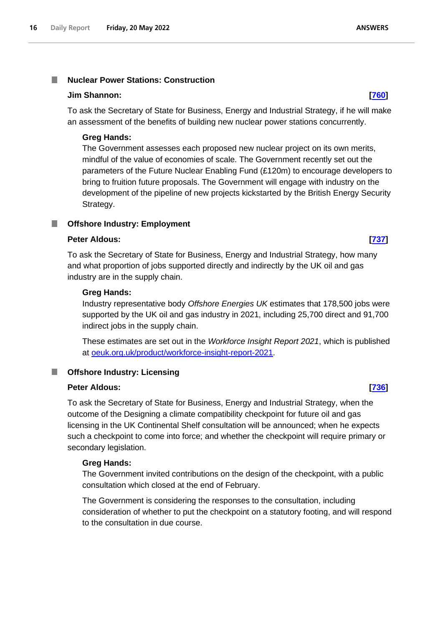#### <span id="page-15-0"></span>**Nuclear Power Stations: Construction** T.

#### **Jim Shannon: [\[760\]](http://www.parliament.uk/business/publications/written-questions-answers-statements/written-question/Commons/2022-05-11/760)**

To ask the Secretary of State for Business, Energy and Industrial Strategy, if he will make an assessment of the benefits of building new nuclear power stations concurrently.

### **Greg Hands:**

The Government assesses each proposed new nuclear project on its own merits, mindful of the value of economies of scale. The Government recently set out the parameters of the Future Nuclear Enabling Fund (£120m) to encourage developers to bring to fruition future proposals. The Government will engage with industry on the development of the pipeline of new projects kickstarted by the British Energy Security Strategy.

#### <span id="page-15-1"></span>**Offshore Industry: Employment** T.

## **Peter Aldous: [\[737\]](http://www.parliament.uk/business/publications/written-questions-answers-statements/written-question/Commons/2022-05-11/737)**

To ask the Secretary of State for Business, Energy and Industrial Strategy, how many and what proportion of jobs supported directly and indirectly by the UK oil and gas industry are in the supply chain.

#### **Greg Hands:**

Industry representative body *Offshore Energies UK* estimates that 178,500 jobs were supported by the UK oil and gas industry in 2021, including 25,700 direct and 91,700 indirect jobs in the supply chain.

These estimates are set out in the *Workforce Insight Report 2021*, which is published at [oeuk.org.uk/product/workforce-insight-report-2021.](http://oeuk.org.uk/product/workforce-insight-report-2021/)

## <span id="page-15-2"></span>**Offshore Industry: Licensing**

#### **Peter Aldous: [\[736\]](http://www.parliament.uk/business/publications/written-questions-answers-statements/written-question/Commons/2022-05-11/736)**

To ask the Secretary of State for Business, Energy and Industrial Strategy, when the outcome of the Designing a climate compatibility checkpoint for future oil and gas licensing in the UK Continental Shelf consultation will be announced; when he expects such a checkpoint to come into force; and whether the checkpoint will require primary or secondary legislation.

#### **Greg Hands:**

The Government invited contributions on the design of the checkpoint, with a public consultation which closed at the end of February.

The Government is considering the responses to the consultation, including consideration of whether to put the checkpoint on a statutory footing, and will respond to the consultation in due course.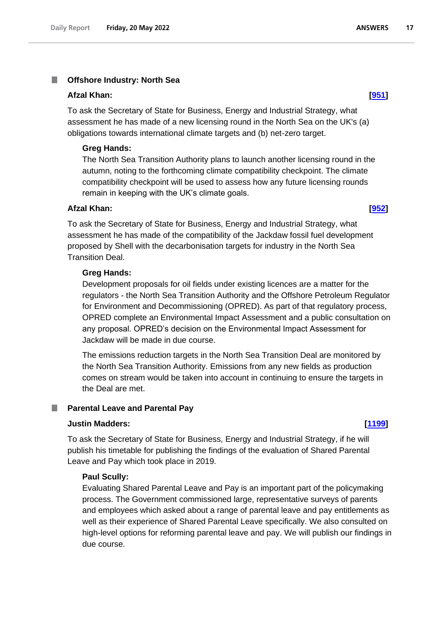### <span id="page-16-0"></span>**Offshore Industry: North Sea**

#### **Afzal Khan: [\[951\]](http://www.parliament.uk/business/publications/written-questions-answers-statements/written-question/Commons/2022-05-11/951)**

To ask the Secretary of State for Business, Energy and Industrial Strategy, what assessment he has made of a new licensing round in the North Sea on the UK's (a) obligations towards international climate targets and (b) net-zero target.

#### **Greg Hands:**

The North Sea Transition Authority plans to launch another licensing round in the autumn, noting to the forthcoming climate compatibility checkpoint. The climate compatibility checkpoint will be used to assess how any future licensing rounds remain in keeping with the UK's climate goals.

#### **Afzal Khan: [\[952\]](http://www.parliament.uk/business/publications/written-questions-answers-statements/written-question/Commons/2022-05-11/952)**

To ask the Secretary of State for Business, Energy and Industrial Strategy, what assessment he has made of the compatibility of the Jackdaw fossil fuel development proposed by Shell with the decarbonisation targets for industry in the North Sea Transition Deal.

#### **Greg Hands:**

Development proposals for oil fields under existing licences are a matter for the regulators - the North Sea Transition Authority and the Offshore Petroleum Regulator for Environment and Decommissioning (OPRED). As part of that regulatory process, OPRED complete an Environmental Impact Assessment and a public consultation on any proposal. OPRED's decision on the Environmental Impact Assessment for Jackdaw will be made in due course.

The emissions reduction targets in the North Sea Transition Deal are monitored by the North Sea Transition Authority. Emissions from any new fields as production comes on stream would be taken into account in continuing to ensure the targets in the Deal are met.

#### <span id="page-16-1"></span>**Parental Leave and Parental Pay**

### **Justin Madders: [\[1199\]](http://www.parliament.uk/business/publications/written-questions-answers-statements/written-question/Commons/2022-05-12/1199)**

To ask the Secretary of State for Business, Energy and Industrial Strategy, if he will publish his timetable for publishing the findings of the evaluation of Shared Parental Leave and Pay which took place in 2019.

#### **Paul Scully:**

Evaluating Shared Parental Leave and Pay is an important part of the policymaking process. The Government commissioned large, representative surveys of parents and employees which asked about a range of parental leave and pay entitlements as well as their experience of Shared Parental Leave specifically. We also consulted on high-level options for reforming parental leave and pay. We will publish our findings in due course.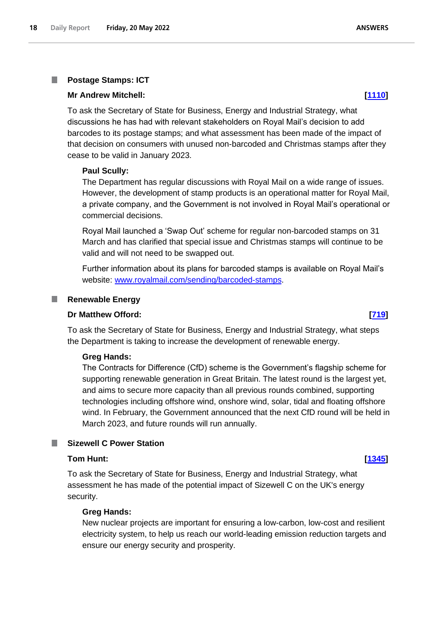# **Postage Stamps: ICT**

<span id="page-17-0"></span>T.

## **Mr Andrew Mitchell: [\[1110\]](http://www.parliament.uk/business/publications/written-questions-answers-statements/written-question/Commons/2022-05-12/1110)**

To ask the Secretary of State for Business, Energy and Industrial Strategy, what discussions he has had with relevant stakeholders on Royal Mail's decision to add barcodes to its postage stamps; and what assessment has been made of the impact of that decision on consumers with unused non-barcoded and Christmas stamps after they cease to be valid in January 2023.

### **Paul Scully:**

The Department has regular discussions with Royal Mail on a wide range of issues. However, the development of stamp products is an operational matter for Royal Mail, a private company, and the Government is not involved in Royal Mail's operational or commercial decisions.

Royal Mail launched a 'Swap Out' scheme for regular non-barcoded stamps on 31 March and has clarified that special issue and Christmas stamps will continue to be valid and will not need to be swapped out.

Further information about its plans for barcoded stamps is available on Royal Mail's website: [www.royalmail.com/sending/barcoded-stamps.](http://www.royalmail.com/sending/barcoded-stamps)

### <span id="page-17-1"></span>**Renewable Energy**

#### **Dr Matthew Offord: [\[719\]](http://www.parliament.uk/business/publications/written-questions-answers-statements/written-question/Commons/2022-05-11/719)**

To ask the Secretary of State for Business, Energy and Industrial Strategy, what steps the Department is taking to increase the development of renewable energy.

#### **Greg Hands:**

The Contracts for Difference (CfD) scheme is the Government's flagship scheme for supporting renewable generation in Great Britain. The latest round is the largest yet, and aims to secure more capacity than all previous rounds combined, supporting technologies including offshore wind, onshore wind, solar, tidal and floating offshore wind. In February, the Government announced that the next CfD round will be held in March 2023, and future rounds will run annually.

### <span id="page-17-2"></span>**Sizewell C Power Station**

#### **Tom Hunt: [\[1345\]](http://www.parliament.uk/business/publications/written-questions-answers-statements/written-question/Commons/2022-05-12/1345)**

To ask the Secretary of State for Business, Energy and Industrial Strategy, what assessment he has made of the potential impact of Sizewell C on the UK's energy security.

### **Greg Hands:**

New nuclear projects are important for ensuring a low-carbon, low-cost and resilient electricity system, to help us reach our world-leading emission reduction targets and ensure our energy security and prosperity.

**ANSWERS**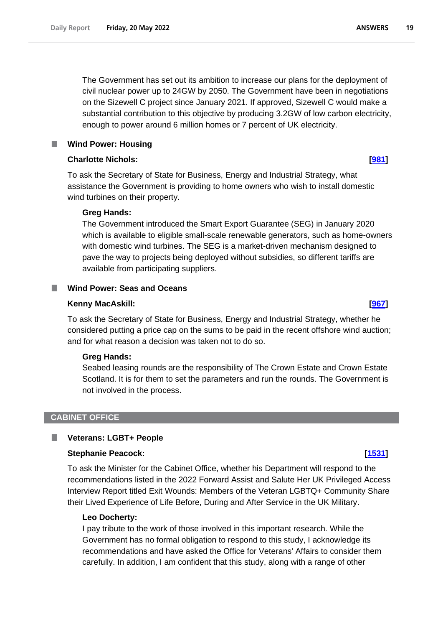The Government has set out its ambition to increase our plans for the deployment of civil nuclear power up to 24GW by 2050. The Government have been in negotiations on the Sizewell C project since January 2021. If approved, Sizewell C would make a substantial contribution to this objective by producing 3.2GW of low carbon electricity, enough to power around 6 million homes or 7 percent of UK electricity.

### <span id="page-18-0"></span>**Wind Power: Housing**

## **Charlotte Nichols: [\[981\]](http://www.parliament.uk/business/publications/written-questions-answers-statements/written-question/Commons/2022-05-11/981)**

To ask the Secretary of State for Business, Energy and Industrial Strategy, what assistance the Government is providing to home owners who wish to install domestic wind turbines on their property.

## **Greg Hands:**

The Government introduced the Smart Export Guarantee (SEG) in January 2020 which is available to eligible small-scale renewable generators, such as home-owners with domestic wind turbines. The SEG is a market-driven mechanism designed to pave the way to projects being deployed without subsidies, so different tariffs are available from participating suppliers.

## <span id="page-18-1"></span>**Wind Power: Seas and Oceans**

## **Kenny MacAskill: [\[967\]](http://www.parliament.uk/business/publications/written-questions-answers-statements/written-question/Commons/2022-05-11/967)**

To ask the Secretary of State for Business, Energy and Industrial Strategy, whether he considered putting a price cap on the sums to be paid in the recent offshore wind auction; and for what reason a decision was taken not to do so.

## **Greg Hands:**

Seabed leasing rounds are the responsibility of The Crown Estate and Crown Estate Scotland. It is for them to set the parameters and run the rounds. The Government is not involved in the process.

#### <span id="page-18-2"></span>**CABINET OFFICE**

#### <span id="page-18-3"></span>**Veterans: LGBT+ People** T.

#### **Stephanie Peacock: [\[1531\]](http://www.parliament.uk/business/publications/written-questions-answers-statements/written-question/Commons/2022-05-13/1531)**

To ask the Minister for the Cabinet Office, whether his Department will respond to the recommendations listed in the 2022 Forward Assist and Salute Her UK Privileged Access Interview Report titled Exit Wounds: Members of the Veteran LGBTQ+ Community Share their Lived Experience of Life Before, During and After Service in the UK Military.

#### **Leo Docherty:**

I pay tribute to the work of those involved in this important research. While the Government has no formal obligation to respond to this study, I acknowledge its recommendations and have asked the Office for Veterans' Affairs to consider them carefully. In addition, I am confident that this study, along with a range of other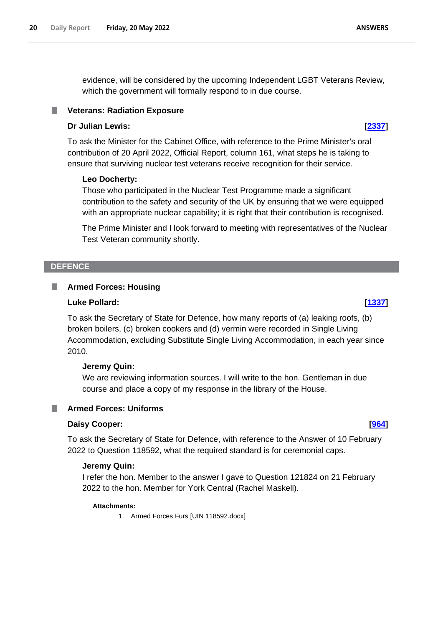evidence, will be considered by the upcoming Independent LGBT Veterans Review, which the government will formally respond to in due course.

### <span id="page-19-0"></span>**Veterans: Radiation Exposure**

#### **Dr Julian Lewis: [\[2337\]](http://www.parliament.uk/business/publications/written-questions-answers-statements/written-question/Commons/2022-05-16/2337)**

To ask the Minister for the Cabinet Office, with reference to the Prime Minister's oral contribution of 20 April 2022, Official Report, column 161, what steps he is taking to ensure that surviving nuclear test veterans receive recognition for their service.

#### **Leo Docherty:**

Those who participated in the Nuclear Test Programme made a significant contribution to the safety and security of the UK by ensuring that we were equipped with an appropriate nuclear capability; it is right that their contribution is recognised.

The Prime Minister and I look forward to meeting with representatives of the Nuclear Test Veteran community shortly.

#### <span id="page-19-1"></span>**DEFENCE**

#### <span id="page-19-2"></span> $\mathbb{R}^n$ **Armed Forces: Housing**

#### **Luke Pollard: [\[1337\]](http://www.parliament.uk/business/publications/written-questions-answers-statements/written-question/Commons/2022-05-12/1337)**

To ask the Secretary of State for Defence, how many reports of (a) leaking roofs, (b) broken boilers, (c) broken cookers and (d) vermin were recorded in Single Living Accommodation, excluding Substitute Single Living Accommodation, in each year since 2010.

#### **Jeremy Quin:**

We are reviewing information sources. I will write to the hon. Gentleman in due course and place a copy of my response in the library of the House.

### <span id="page-19-3"></span>**Armed Forces: Uniforms**

#### **Daisy Cooper: [\[964\]](http://www.parliament.uk/business/publications/written-questions-answers-statements/written-question/Commons/2022-05-11/964)**

To ask the Secretary of State for Defence, with reference to the Answer of 10 February 2022 to Question 118592, what the required standard is for ceremonial caps.

#### **Jeremy Quin:**

I refer the hon. Member to the answer I gave to Question 121824 on 21 February 2022 to the hon. Member for York Central (Rachel Maskell).

#### **Attachments:**

1. Armed Forces Furs [UIN 118592.docx]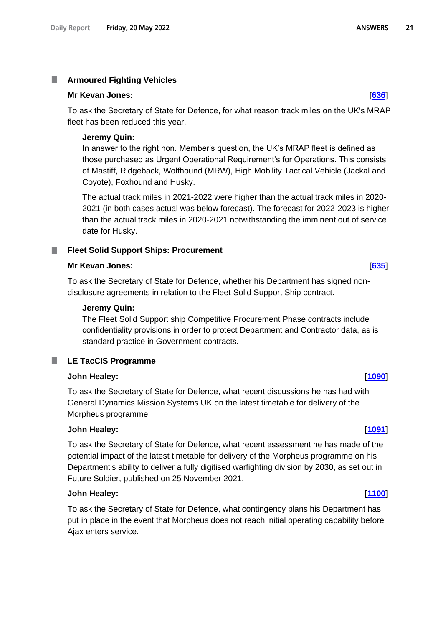#### <span id="page-20-0"></span>T. **Armoured Fighting Vehicles**

#### **Mr Kevan Jones: [\[636\]](http://www.parliament.uk/business/publications/written-questions-answers-statements/written-question/Commons/2022-05-11/636)**

To ask the Secretary of State for Defence, for what reason track miles on the UK's MRAP fleet has been reduced this year.

### **Jeremy Quin:**

In answer to the right hon. Member's question, the UK's MRAP fleet is defined as those purchased as Urgent Operational Requirement's for Operations. This consists of Mastiff, Ridgeback, Wolfhound (MRW), High Mobility Tactical Vehicle (Jackal and Coyote), Foxhound and Husky.

The actual track miles in 2021-2022 were higher than the actual track miles in 2020- 2021 (in both cases actual was below forecast). The forecast for 2022-2023 is higher than the actual track miles in 2020-2021 notwithstanding the imminent out of service date for Husky.

### <span id="page-20-1"></span>**Fleet Solid Support Ships: Procurement**

#### **Mr Kevan Jones: [\[635\]](http://www.parliament.uk/business/publications/written-questions-answers-statements/written-question/Commons/2022-05-11/635)**

To ask the Secretary of State for Defence, whether his Department has signed nondisclosure agreements in relation to the Fleet Solid Support Ship contract.

#### **Jeremy Quin:**

The Fleet Solid Support ship Competitive Procurement Phase contracts include confidentiality provisions in order to protect Department and Contractor data, as is standard practice in Government contracts.

## <span id="page-20-2"></span>**LE TacCIS Programme**

### **John Healey: [\[1090\]](http://www.parliament.uk/business/publications/written-questions-answers-statements/written-question/Commons/2022-05-12/1090)**

To ask the Secretary of State for Defence, what recent discussions he has had with General Dynamics Mission Systems UK on the latest timetable for delivery of the Morpheus programme.

#### **John Healey: [\[1091\]](http://www.parliament.uk/business/publications/written-questions-answers-statements/written-question/Commons/2022-05-12/1091)**

To ask the Secretary of State for Defence, what recent assessment he has made of the potential impact of the latest timetable for delivery of the Morpheus programme on his Department's ability to deliver a fully digitised warfighting division by 2030, as set out in Future Soldier, published on 25 November 2021.

### **John Healey: [\[1100\]](http://www.parliament.uk/business/publications/written-questions-answers-statements/written-question/Commons/2022-05-12/1100)**

To ask the Secretary of State for Defence, what contingency plans his Department has put in place in the event that Morpheus does not reach initial operating capability before Ajax enters service.

#### **ANSWERS**  $21$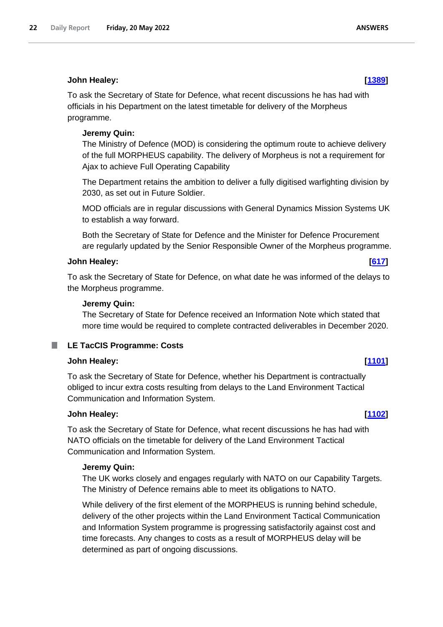To ask the Secretary of State for Defence, what recent discussions he has had with officials in his Department on the latest timetable for delivery of the Morpheus programme.

### **Jeremy Quin:**

The Ministry of Defence (MOD) is considering the optimum route to achieve delivery of the full MORPHEUS capability. The delivery of Morpheus is not a requirement for Ajax to achieve Full Operating Capability

The Department retains the ambition to deliver a fully digitised warfighting division by 2030, as set out in Future Soldier.

MOD officials are in regular discussions with General Dynamics Mission Systems UK to establish a way forward.

Both the Secretary of State for Defence and the Minister for Defence Procurement are regularly updated by the Senior Responsible Owner of the Morpheus programme.

### **John Healey: [\[617\]](http://www.parliament.uk/business/publications/written-questions-answers-statements/written-question/Commons/2022-05-11/617)**

To ask the Secretary of State for Defence, on what date he was informed of the delays to the Morpheus programme.

### **Jeremy Quin:**

The Secretary of State for Defence received an Information Note which stated that more time would be required to complete contracted deliverables in December 2020.

## <span id="page-21-0"></span>**LE TacCIS Programme: Costs**

#### **John Healey: [\[1101\]](http://www.parliament.uk/business/publications/written-questions-answers-statements/written-question/Commons/2022-05-12/1101)**

To ask the Secretary of State for Defence, whether his Department is contractually obliged to incur extra costs resulting from delays to the Land Environment Tactical Communication and Information System.

#### **John Healey: [\[1102\]](http://www.parliament.uk/business/publications/written-questions-answers-statements/written-question/Commons/2022-05-12/1102)**

To ask the Secretary of State for Defence, what recent discussions he has had with NATO officials on the timetable for delivery of the Land Environment Tactical Communication and Information System.

#### **Jeremy Quin:**

The UK works closely and engages regularly with NATO on our Capability Targets. The Ministry of Defence remains able to meet its obligations to NATO.

While delivery of the first element of the MORPHEUS is running behind schedule, delivery of the other projects within the Land Environment Tactical Communication and Information System programme is progressing satisfactorily against cost and time forecasts. Any changes to costs as a result of MORPHEUS delay will be determined as part of ongoing discussions.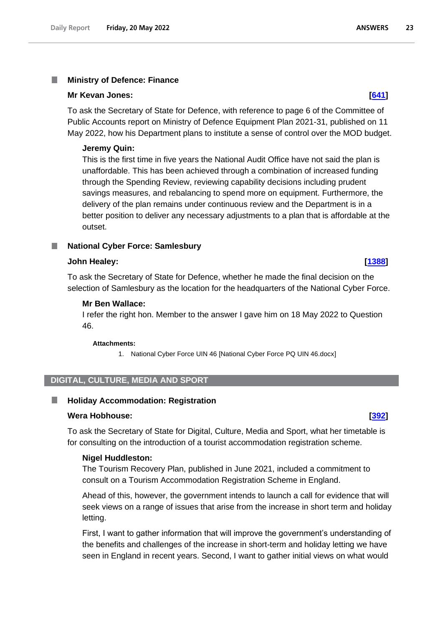#### <span id="page-22-0"></span>I. **Ministry of Defence: Finance**

#### **Mr Kevan Jones: [\[641\]](http://www.parliament.uk/business/publications/written-questions-answers-statements/written-question/Commons/2022-05-11/641)**

To ask the Secretary of State for Defence, with reference to page 6 of the Committee of Public Accounts report on Ministry of Defence Equipment Plan 2021-31, published on 11 May 2022, how his Department plans to institute a sense of control over the MOD budget.

#### **Jeremy Quin:**

This is the first time in five years the National Audit Office have not said the plan is unaffordable. This has been achieved through a combination of increased funding through the Spending Review, reviewing capability decisions including prudent savings measures, and rebalancing to spend more on equipment. Furthermore, the delivery of the plan remains under continuous review and the Department is in a better position to deliver any necessary adjustments to a plan that is affordable at the outset.

#### <span id="page-22-1"></span>**National Cyber Force: Samlesbury**

#### **John Healey: [\[1388\]](http://www.parliament.uk/business/publications/written-questions-answers-statements/written-question/Commons/2022-05-12/1388)**

To ask the Secretary of State for Defence, whether he made the final decision on the selection of Samlesbury as the location for the headquarters of the National Cyber Force.

#### **Mr Ben Wallace:**

I refer the right hon. Member to the answer I gave him on 18 May 2022 to Question 46.

#### **Attachments:**

1. National Cyber Force UIN 46 [National Cyber Force PQ UIN 46.docx]

### <span id="page-22-2"></span>**DIGITAL, CULTURE, MEDIA AND SPORT**

#### <span id="page-22-3"></span>**Holiday Accommodation: Registration** .

#### **Wera Hobhouse: [\[392\]](http://www.parliament.uk/business/publications/written-questions-answers-statements/written-question/Commons/2022-05-10/392)**

To ask the Secretary of State for Digital, Culture, Media and Sport, what her timetable is for consulting on the introduction of a tourist accommodation registration scheme.

#### **Nigel Huddleston:**

The Tourism Recovery Plan, published in June 2021, included a commitment to consult on a Tourism Accommodation Registration Scheme in England.

Ahead of this, however, the government intends to launch a call for evidence that will seek views on a range of issues that arise from the increase in short term and holiday letting.

First, I want to gather information that will improve the government's understanding of the benefits and challenges of the increase in short-term and holiday letting we have seen in England in recent years. Second, I want to gather initial views on what would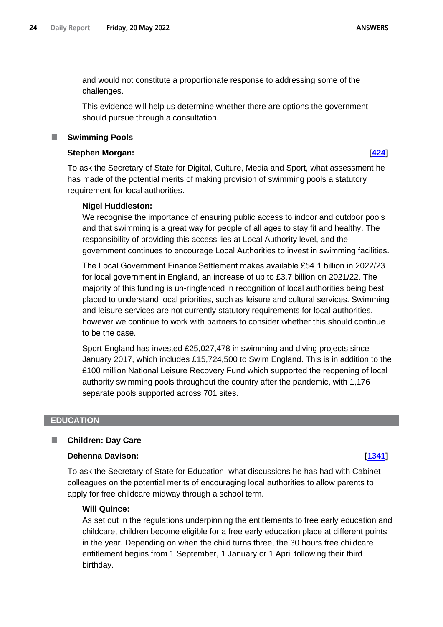and would not constitute a proportionate response to addressing some of the challenges.

This evidence will help us determine whether there are options the government should pursue through a consultation.

#### <span id="page-23-0"></span>**Swimming Pools**

## **Stephen Morgan: [\[424\]](http://www.parliament.uk/business/publications/written-questions-answers-statements/written-question/Commons/2022-05-10/424)**

To ask the Secretary of State for Digital, Culture, Media and Sport, what assessment he has made of the potential merits of making provision of swimming pools a statutory requirement for local authorities.

#### **Nigel Huddleston:**

We recognise the importance of ensuring public access to indoor and outdoor pools and that swimming is a great way for people of all ages to stay fit and healthy. The responsibility of providing this access lies at Local Authority level, and the government continues to encourage Local Authorities to invest in swimming facilities.

The Local Government Finance Settlement makes available £54.1 billion in 2022/23 for local government in England, an increase of up to £3.7 billion on 2021/22. The majority of this funding is un-ringfenced in recognition of local authorities being best placed to understand local priorities, such as leisure and cultural services. Swimming and leisure services are not currently statutory requirements for local authorities, however we continue to work with partners to consider whether this should continue to be the case.

Sport England has invested £25,027,478 in swimming and diving projects since January 2017, which includes £15,724,500 to Swim England. This is in addition to the £100 million National Leisure Recovery Fund which supported the reopening of local authority swimming pools throughout the country after the pandemic, with 1,176 separate pools supported across 701 sites.

#### <span id="page-23-1"></span>**EDUCATION**

#### <span id="page-23-2"></span>**Children: Day Care** П

### **Dehenna Davison: [\[1341\]](http://www.parliament.uk/business/publications/written-questions-answers-statements/written-question/Commons/2022-05-12/1341)**

To ask the Secretary of State for Education, what discussions he has had with Cabinet colleagues on the potential merits of encouraging local authorities to allow parents to apply for free childcare midway through a school term.

#### **Will Quince:**

As set out in the regulations underpinning the entitlements to free early education and childcare, children become eligible for a free early education place at different points in the year. Depending on when the child turns three, the 30 hours free childcare entitlement begins from 1 September, 1 January or 1 April following their third birthday.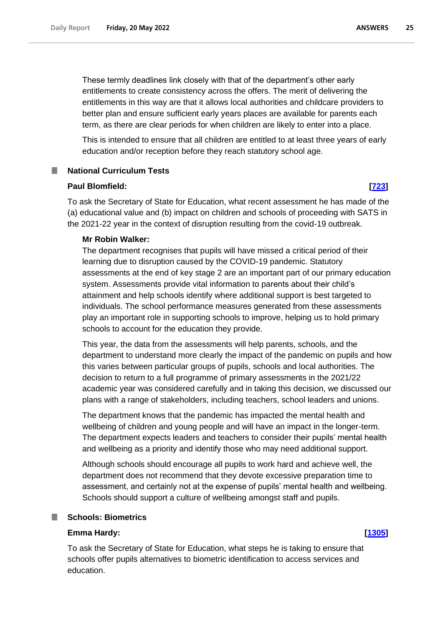These termly deadlines link closely with that of the department's other early entitlements to create consistency across the offers. The merit of delivering the entitlements in this way are that it allows local authorities and childcare providers to better plan and ensure sufficient early years places are available for parents each term, as there are clear periods for when children are likely to enter into a place.

This is intended to ensure that all children are entitled to at least three years of early education and/or reception before they reach statutory school age.

#### <span id="page-24-0"></span>**National Curriculum Tests**

#### **Paul Blomfield: [\[723\]](http://www.parliament.uk/business/publications/written-questions-answers-statements/written-question/Commons/2022-05-11/723)**

To ask the Secretary of State for Education, what recent assessment he has made of the (a) educational value and (b) impact on children and schools of proceeding with SATS in the 2021-22 year in the context of disruption resulting from the covid-19 outbreak.

#### **Mr Robin Walker:**

The department recognises that pupils will have missed a critical period of their learning due to disruption caused by the COVID-19 pandemic. Statutory assessments at the end of key stage 2 are an important part of our primary education system. Assessments provide vital information to parents about their child's attainment and help schools identify where additional support is best targeted to individuals. The school performance measures generated from these assessments play an important role in supporting schools to improve, helping us to hold primary schools to account for the education they provide.

This year, the data from the assessments will help parents, schools, and the department to understand more clearly the impact of the pandemic on pupils and how this varies between particular groups of pupils, schools and local authorities. The decision to return to a full programme of primary assessments in the 2021/22 academic year was considered carefully and in taking this decision, we discussed our plans with a range of stakeholders, including teachers, school leaders and unions.

The department knows that the pandemic has impacted the mental health and wellbeing of children and young people and will have an impact in the longer-term. The department expects leaders and teachers to consider their pupils' mental health and wellbeing as a priority and identify those who may need additional support.

Although schools should encourage all pupils to work hard and achieve well, the department does not recommend that they devote excessive preparation time to assessment, and certainly not at the expense of pupils' mental health and wellbeing. Schools should support a culture of wellbeing amongst staff and pupils.

#### <span id="page-24-1"></span>**Schools: Biometrics** T.

#### **Emma Hardy: [\[1305\]](http://www.parliament.uk/business/publications/written-questions-answers-statements/written-question/Commons/2022-05-12/1305)**

To ask the Secretary of State for Education, what steps he is taking to ensure that schools offer pupils alternatives to biometric identification to access services and education.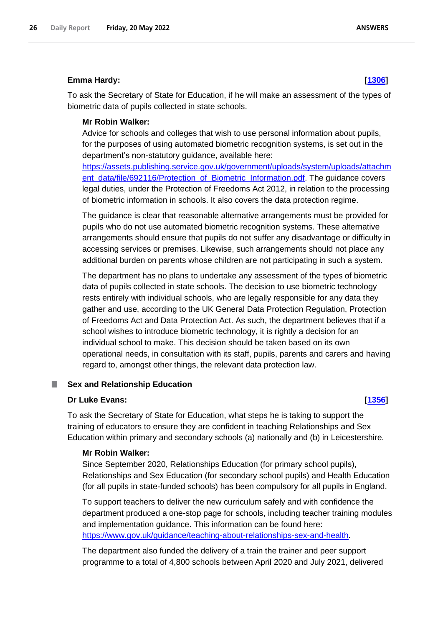#### **Emma Hardy: [\[1306\]](http://www.parliament.uk/business/publications/written-questions-answers-statements/written-question/Commons/2022-05-12/1306)**

To ask the Secretary of State for Education, if he will make an assessment of the types of biometric data of pupils collected in state schools.

### **Mr Robin Walker:**

Advice for schools and colleges that wish to use personal information about pupils, for the purposes of using automated biometric recognition systems, is set out in the department's non-statutory guidance, available here:

https://assets.publishing.service.gov.uk/government/uploads/system/uploads/attachm ent\_data/file/692116/Protection\_of\_Biometric\_Information.pdf. The guidance covers legal duties, under the Protection of Freedoms Act 2012, in relation to the processing of biometric information in schools. It also covers the data protection regime.

The guidance is clear that reasonable alternative arrangements must be provided for pupils who do not use automated biometric recognition systems. These alternative arrangements should ensure that pupils do not suffer any disadvantage or difficulty in accessing services or premises. Likewise, such arrangements should not place any additional burden on parents whose children are not participating in such a system.

The department has no plans to undertake any assessment of the types of biometric data of pupils collected in state schools. The decision to use biometric technology rests entirely with individual schools, who are legally responsible for any data they gather and use, according to the UK General Data Protection Regulation, Protection of Freedoms Act and Data Protection Act. As such, the department believes that if a school wishes to introduce biometric technology, it is rightly a decision for an individual school to make. This decision should be taken based on its own operational needs, in consultation with its staff, pupils, parents and carers and having regard to, amongst other things, the relevant data protection law.

#### <span id="page-25-0"></span>**Sex and Relationship Education**

#### **Dr Luke Evans: [\[1356\]](http://www.parliament.uk/business/publications/written-questions-answers-statements/written-question/Commons/2022-05-12/1356)**

To ask the Secretary of State for Education, what steps he is taking to support the training of educators to ensure they are confident in teaching Relationships and Sex Education within primary and secondary schools (a) nationally and (b) in Leicestershire.

#### **Mr Robin Walker:**

Since September 2020, Relationships Education (for primary school pupils), Relationships and Sex Education (for secondary school pupils) and Health Education (for all pupils in state-funded schools) has been compulsory for all pupils in England.

To support teachers to deliver the new curriculum safely and with confidence the department produced a one-stop page for schools, including teacher training modules and implementation guidance. This information can be found here: [https://www.gov.uk/guidance/teaching-about-relationships-sex-and-health.](https://www.gov.uk/guidance/teaching-about-relationships-sex-and-health)

The department also funded the delivery of a train the trainer and peer support programme to a total of 4,800 schools between April 2020 and July 2021, delivered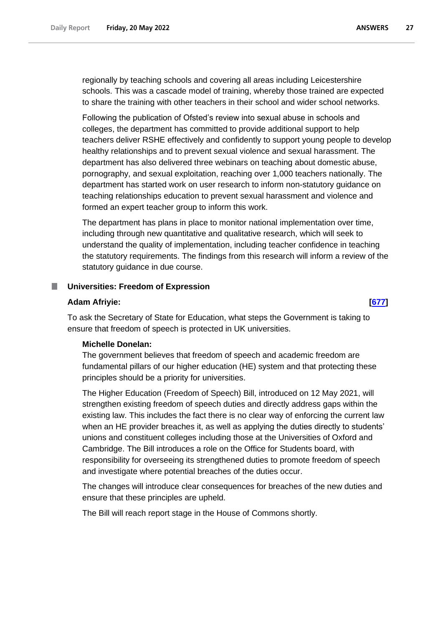regionally by teaching schools and covering all areas including Leicestershire schools. This was a cascade model of training, whereby those trained are expected to share the training with other teachers in their school and wider school networks.

Following the publication of Ofsted's review into sexual abuse in schools and colleges, the department has committed to provide additional support to help teachers deliver RSHE effectively and confidently to support young people to develop healthy relationships and to prevent sexual violence and sexual harassment. The department has also delivered three webinars on teaching about domestic abuse, pornography, and sexual exploitation, reaching over 1,000 teachers nationally. The department has started work on user research to inform non-statutory guidance on teaching relationships education to prevent sexual harassment and violence and formed an expert teacher group to inform this work.

The department has plans in place to monitor national implementation over time, including through new quantitative and qualitative research, which will seek to understand the quality of implementation, including teacher confidence in teaching the statutory requirements. The findings from this research will inform a review of the statutory guidance in due course.

#### <span id="page-26-0"></span>. **Universities: Freedom of Expression**

#### **Adam Afriyie: [\[677\]](http://www.parliament.uk/business/publications/written-questions-answers-statements/written-question/Commons/2022-05-11/677)**

To ask the Secretary of State for Education, what steps the Government is taking to ensure that freedom of speech is protected in UK universities.

#### **Michelle Donelan:**

The government believes that freedom of speech and academic freedom are fundamental pillars of our higher education (HE) system and that protecting these principles should be a priority for universities.

The Higher Education (Freedom of Speech) Bill, introduced on 12 May 2021, will strengthen existing freedom of speech duties and directly address gaps within the existing law. This includes the fact there is no clear way of enforcing the current law when an HE provider breaches it, as well as applying the duties directly to students' unions and constituent colleges including those at the Universities of Oxford and Cambridge. The Bill introduces a role on the Office for Students board, with responsibility for overseeing its strengthened duties to promote freedom of speech and investigate where potential breaches of the duties occur.

The changes will introduce clear consequences for breaches of the new duties and ensure that these principles are upheld.

The Bill will reach report stage in the House of Commons shortly.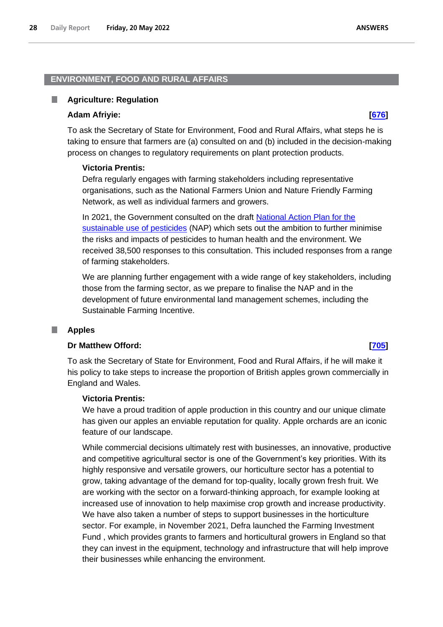### <span id="page-27-0"></span>**ENVIRONMENT, FOOD AND RURAL AFFAIRS**

#### <span id="page-27-1"></span>**Agriculture: Regulation** ш

#### **Adam Afriyie: [\[676\]](http://www.parliament.uk/business/publications/written-questions-answers-statements/written-question/Commons/2022-05-11/676)**

To ask the Secretary of State for Environment, Food and Rural Affairs, what steps he is taking to ensure that farmers are (a) consulted on and (b) included in the decision-making process on changes to regulatory requirements on plant protection products.

#### **Victoria Prentis:**

Defra regularly engages with farming stakeholders including representative organisations, such as the National Farmers Union and Nature Friendly Farming Network, as well as individual farmers and growers.

In 2021, the Government consulted on the draft [National Action Plan for the](https://eur03.safelinks.protection.outlook.com/?url=https%3A%2F%2Fwww.gov.uk%2Fgovernment%2Fconsultations%2Fsustainable-use-of-pesticides-draft-national-action-plan&data=05%7C01%7Cpqteam%40defra.gov.uk%7C1f5853c1a7c34048c15308da3a35541b%7C770a245002274c6290c74e38537f1102%7C0%7C0%7C637886297963880392%7CUnknown%7CTWFpbGZsb3d8eyJWIjoiMC4wLjAwMDAiLCJQIjoiV2luMzIiLCJBTiI6Ik1haWwiLCJXVCI6Mn0%3D%7C3000%7C%7C%7C&sdata=Ay00ZKKdAOE226MzOY22BrnbjSecTkrD8FTnrQxgj0k%3D&reserved=0)  [sustainable use of pesticides](https://eur03.safelinks.protection.outlook.com/?url=https%3A%2F%2Fwww.gov.uk%2Fgovernment%2Fconsultations%2Fsustainable-use-of-pesticides-draft-national-action-plan&data=05%7C01%7Cpqteam%40defra.gov.uk%7C1f5853c1a7c34048c15308da3a35541b%7C770a245002274c6290c74e38537f1102%7C0%7C0%7C637886297963880392%7CUnknown%7CTWFpbGZsb3d8eyJWIjoiMC4wLjAwMDAiLCJQIjoiV2luMzIiLCJBTiI6Ik1haWwiLCJXVCI6Mn0%3D%7C3000%7C%7C%7C&sdata=Ay00ZKKdAOE226MzOY22BrnbjSecTkrD8FTnrQxgj0k%3D&reserved=0) (NAP) which sets out the ambition to further minimise the risks and impacts of pesticides to human health and the environment. We received 38,500 responses to this consultation. This included responses from a range of farming stakeholders.

We are planning further engagement with a wide range of key stakeholders, including those from the farming sector, as we prepare to finalise the NAP and in the development of future environmental land management schemes, including the Sustainable Farming Incentive.

## <span id="page-27-2"></span>**Apples**

#### **Dr Matthew Offord: [\[705\]](http://www.parliament.uk/business/publications/written-questions-answers-statements/written-question/Commons/2022-05-11/705)**

To ask the Secretary of State for Environment, Food and Rural Affairs, if he will make it his policy to take steps to increase the proportion of British apples grown commercially in England and Wales.

#### **Victoria Prentis:**

We have a proud tradition of apple production in this country and our unique climate has given our apples an enviable reputation for quality. Apple orchards are an iconic feature of our landscape.

While commercial decisions ultimately rest with businesses, an innovative, productive and competitive agricultural sector is one of the Government's key priorities. With its highly responsive and versatile growers, our horticulture sector has a potential to grow, taking advantage of the demand for top-quality, locally grown fresh fruit. We are working with the sector on a forward-thinking approach, for example looking at increased use of innovation to help maximise crop growth and increase productivity. We have also taken a number of steps to support businesses in the horticulture sector. For example, in November 2021, Defra launched the Farming Investment Fund , which provides grants to farmers and horticultural growers in England so that they can invest in the equipment, technology and infrastructure that will help improve their businesses while enhancing the environment.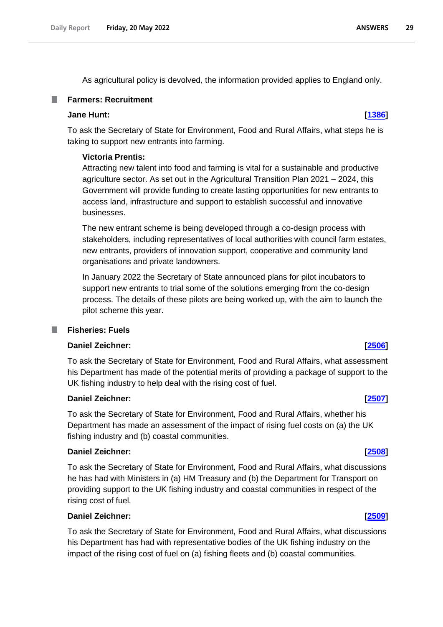As agricultural policy is devolved, the information provided applies to England only.

### <span id="page-28-0"></span>**Farmers: Recruitment**

#### **Jane Hunt: [\[1386\]](http://www.parliament.uk/business/publications/written-questions-answers-statements/written-question/Commons/2022-05-12/1386)**

To ask the Secretary of State for Environment, Food and Rural Affairs, what steps he is taking to support new entrants into farming.

### **Victoria Prentis:**

Attracting new talent into food and farming is vital for a sustainable and productive agriculture sector. As set out in the Agricultural Transition Plan 2021 – 2024, this Government will provide funding to create lasting opportunities for new entrants to access land, infrastructure and support to establish successful and innovative businesses.

The new entrant scheme is being developed through a co-design process with stakeholders, including representatives of local authorities with council farm estates, new entrants, providers of innovation support, cooperative and community land organisations and private landowners.

In January 2022 the Secretary of State announced plans for pilot incubators to support new entrants to trial some of the solutions emerging from the co-design process. The details of these pilots are being worked up, with the aim to launch the pilot scheme this year.

## <span id="page-28-1"></span>**Fisheries: Fuels**

### **Daniel Zeichner: [\[2506\]](http://www.parliament.uk/business/publications/written-questions-answers-statements/written-question/Commons/2022-05-16/2506)**

To ask the Secretary of State for Environment, Food and Rural Affairs, what assessment his Department has made of the potential merits of providing a package of support to the UK fishing industry to help deal with the rising cost of fuel.

#### **Daniel Zeichner: [\[2507\]](http://www.parliament.uk/business/publications/written-questions-answers-statements/written-question/Commons/2022-05-16/2507)**

To ask the Secretary of State for Environment, Food and Rural Affairs, whether his Department has made an assessment of the impact of rising fuel costs on (a) the UK fishing industry and (b) coastal communities.

#### **Daniel Zeichner: [\[2508\]](http://www.parliament.uk/business/publications/written-questions-answers-statements/written-question/Commons/2022-05-16/2508)**

To ask the Secretary of State for Environment, Food and Rural Affairs, what discussions he has had with Ministers in (a) HM Treasury and (b) the Department for Transport on providing support to the UK fishing industry and coastal communities in respect of the rising cost of fuel.

#### **Daniel Zeichner: [\[2509\]](http://www.parliament.uk/business/publications/written-questions-answers-statements/written-question/Commons/2022-05-16/2509)**

To ask the Secretary of State for Environment, Food and Rural Affairs, what discussions his Department has had with representative bodies of the UK fishing industry on the impact of the rising cost of fuel on (a) fishing fleets and (b) coastal communities.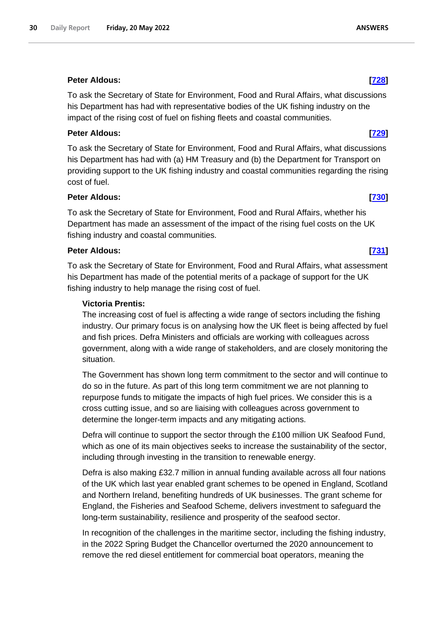### **Peter Aldous: [\[728\]](http://www.parliament.uk/business/publications/written-questions-answers-statements/written-question/Commons/2022-05-11/728)**

To ask the Secretary of State for Environment, Food and Rural Affairs, what discussions his Department has had with representative bodies of the UK fishing industry on the impact of the rising cost of fuel on fishing fleets and coastal communities.

### **Peter Aldous: [\[729\]](http://www.parliament.uk/business/publications/written-questions-answers-statements/written-question/Commons/2022-05-11/729)**

To ask the Secretary of State for Environment, Food and Rural Affairs, what discussions his Department has had with (a) HM Treasury and (b) the Department for Transport on providing support to the UK fishing industry and coastal communities regarding the rising cost of fuel.

### **Peter Aldous: [\[730\]](http://www.parliament.uk/business/publications/written-questions-answers-statements/written-question/Commons/2022-05-11/730)**

To ask the Secretary of State for Environment, Food and Rural Affairs, whether his Department has made an assessment of the impact of the rising fuel costs on the UK fishing industry and coastal communities.

### **Peter Aldous: [\[731\]](http://www.parliament.uk/business/publications/written-questions-answers-statements/written-question/Commons/2022-05-11/731)**

To ask the Secretary of State for Environment, Food and Rural Affairs, what assessment his Department has made of the potential merits of a package of support for the UK fishing industry to help manage the rising cost of fuel.

### **Victoria Prentis:**

The increasing cost of fuel is affecting a wide range of sectors including the fishing industry. Our primary focus is on analysing how the UK fleet is being affected by fuel and fish prices. Defra Ministers and officials are working with colleagues across government, along with a wide range of stakeholders, and are closely monitoring the situation.

The Government has shown long term commitment to the sector and will continue to do so in the future. As part of this long term commitment we are not planning to repurpose funds to mitigate the impacts of high fuel prices. We consider this is a cross cutting issue, and so are liaising with colleagues across government to determine the longer-term impacts and any mitigating actions.

Defra will continue to support the sector through the £100 million UK Seafood Fund, which as one of its main objectives seeks to increase the sustainability of the sector, including through investing in the transition to renewable energy.

Defra is also making £32.7 million in annual funding available across all four nations of the UK which last year enabled grant schemes to be opened in England, Scotland and Northern Ireland, benefiting hundreds of UK businesses. The grant scheme for England, the Fisheries and Seafood Scheme, delivers investment to safeguard the long-term sustainability, resilience and prosperity of the seafood sector.

In recognition of the challenges in the maritime sector, including the fishing industry, in the 2022 Spring Budget the Chancellor overturned the 2020 announcement to remove the red diesel entitlement for commercial boat operators, meaning the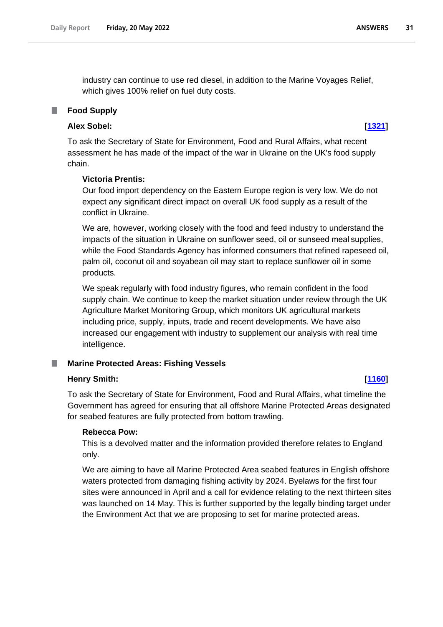industry can continue to use red diesel, in addition to the Marine Voyages Relief, which gives 100% relief on fuel duty costs.

## <span id="page-30-0"></span>**Food Supply**

## **Alex Sobel: [\[1321\]](http://www.parliament.uk/business/publications/written-questions-answers-statements/written-question/Commons/2022-05-12/1321)**

To ask the Secretary of State for Environment, Food and Rural Affairs, what recent assessment he has made of the impact of the war in Ukraine on the UK's food supply chain.

## **Victoria Prentis:**

Our food import dependency on the Eastern Europe region is very low. We do not expect any significant direct impact on overall UK food supply as a result of the conflict in Ukraine.

We are, however, working closely with the food and feed industry to understand the impacts of the situation in Ukraine on sunflower seed, oil or sunseed meal supplies, while the Food Standards Agency has informed consumers that refined rapeseed oil, palm oil, coconut oil and soyabean oil may start to replace sunflower oil in some products.

We speak regularly with food industry figures, who remain confident in the food supply chain. We continue to keep the market situation under review through the UK Agriculture Market Monitoring Group, which monitors UK agricultural markets including price, supply, inputs, trade and recent developments. We have also increased our engagement with industry to supplement our analysis with real time intelligence.

## <span id="page-30-1"></span>**Marine Protected Areas: Fishing Vessels**

## **Henry Smith: [\[1160\]](http://www.parliament.uk/business/publications/written-questions-answers-statements/written-question/Commons/2022-05-12/1160)**

To ask the Secretary of State for Environment, Food and Rural Affairs, what timeline the Government has agreed for ensuring that all offshore Marine Protected Areas designated for seabed features are fully protected from bottom trawling.

#### **Rebecca Pow:**

This is a devolved matter and the information provided therefore relates to England only.

We are aiming to have all Marine Protected Area seabed features in English offshore waters protected from damaging fishing activity by 2024. Byelaws for the first four sites were announced in April and a call for evidence relating to the next thirteen sites was launched on 14 May. This is further supported by the legally binding target under the Environment Act that we are proposing to set for marine protected areas.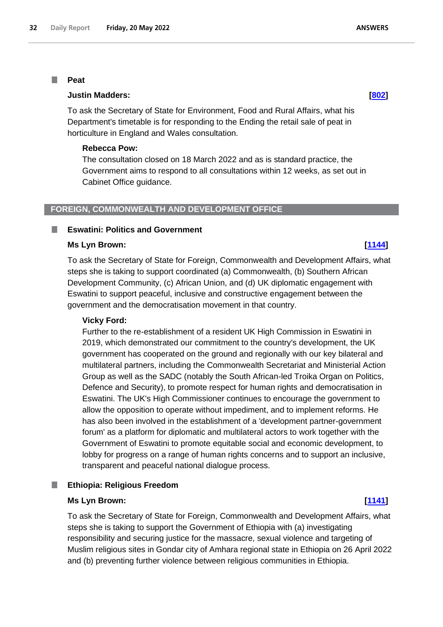#### <span id="page-31-0"></span>**Peat** П

#### **Justin Madders: [\[802\]](http://www.parliament.uk/business/publications/written-questions-answers-statements/written-question/Commons/2022-05-11/802)**

To ask the Secretary of State for Environment, Food and Rural Affairs, what his Department's timetable is for responding to the Ending the retail sale of peat in horticulture in England and Wales consultation.

#### **Rebecca Pow:**

The consultation closed on 18 March 2022 and as is standard practice, the Government aims to respond to all consultations within 12 weeks, as set out in Cabinet Office guidance.

#### <span id="page-31-1"></span>**FOREIGN, COMMONWEALTH AND DEVELOPMENT OFFICE**

#### <span id="page-31-2"></span>**Eswatini: Politics and Government**

#### **Ms Lyn Brown: [\[1144\]](http://www.parliament.uk/business/publications/written-questions-answers-statements/written-question/Commons/2022-05-12/1144)**

To ask the Secretary of State for Foreign, Commonwealth and Development Affairs, what steps she is taking to support coordinated (a) Commonwealth, (b) Southern African Development Community, (c) African Union, and (d) UK diplomatic engagement with Eswatini to support peaceful, inclusive and constructive engagement between the government and the democratisation movement in that country.

#### **Vicky Ford:**

Further to the re-establishment of a resident UK High Commission in Eswatini in 2019, which demonstrated our commitment to the country's development, the UK government has cooperated on the ground and regionally with our key bilateral and multilateral partners, including the Commonwealth Secretariat and Ministerial Action Group as well as the SADC (notably the South African-led Troika Organ on Politics, Defence and Security), to promote respect for human rights and democratisation in Eswatini. The UK's High Commissioner continues to encourage the government to allow the opposition to operate without impediment, and to implement reforms. He has also been involved in the establishment of a 'development partner-government forum' as a platform for diplomatic and multilateral actors to work together with the Government of Eswatini to promote equitable social and economic development, to lobby for progress on a range of human rights concerns and to support an inclusive, transparent and peaceful national dialogue process.

#### <span id="page-31-3"></span>**Ethiopia: Religious Freedom** T.

#### **Ms Lyn Brown: [\[1141\]](http://www.parliament.uk/business/publications/written-questions-answers-statements/written-question/Commons/2022-05-12/1141)**

To ask the Secretary of State for Foreign, Commonwealth and Development Affairs, what steps she is taking to support the Government of Ethiopia with (a) investigating responsibility and securing justice for the massacre, sexual violence and targeting of Muslim religious sites in Gondar city of Amhara regional state in Ethiopia on 26 April 2022 and (b) preventing further violence between religious communities in Ethiopia.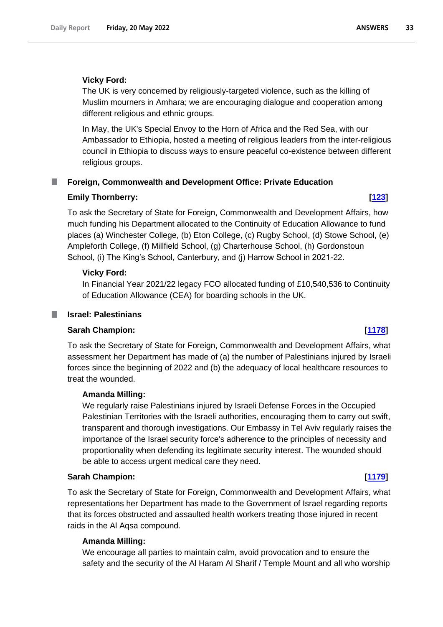### **Vicky Ford:**

The UK is very concerned by religiously-targeted violence, such as the killing of Muslim mourners in Amhara; we are encouraging dialogue and cooperation among different religious and ethnic groups.

In May, the UK's Special Envoy to the Horn of Africa and the Red Sea, with our Ambassador to Ethiopia, hosted a meeting of religious leaders from the inter-religious council in Ethiopia to discuss ways to ensure peaceful co-existence between different religious groups.

### <span id="page-32-0"></span>**Foreign, Commonwealth and Development Office: Private Education**

### **Emily Thornberry: [\[123\]](http://www.parliament.uk/business/publications/written-questions-answers-statements/written-question/Commons/2022-05-10/123)**

To ask the Secretary of State for Foreign, Commonwealth and Development Affairs, how much funding his Department allocated to the Continuity of Education Allowance to fund places (a) Winchester College, (b) Eton College, (c) Rugby School, (d) Stowe School, (e) Ampleforth College, (f) Millfield School, (g) Charterhouse School, (h) Gordonstoun School, (i) The King's School, Canterbury, and (j) Harrow School in 2021-22.

### **Vicky Ford:**

In Financial Year 2021/22 legacy FCO allocated funding of £10,540,536 to Continuity of Education Allowance (CEA) for boarding schools in the UK.

#### <span id="page-32-1"></span>**Israel: Palestinians** a a s

## **Sarah Champion: [\[1178\]](http://www.parliament.uk/business/publications/written-questions-answers-statements/written-question/Commons/2022-05-12/1178)**

To ask the Secretary of State for Foreign, Commonwealth and Development Affairs, what assessment her Department has made of (a) the number of Palestinians injured by Israeli forces since the beginning of 2022 and (b) the adequacy of local healthcare resources to treat the wounded.

## **Amanda Milling:**

We regularly raise Palestinians injured by Israeli Defense Forces in the Occupied Palestinian Territories with the Israeli authorities, encouraging them to carry out swift, transparent and thorough investigations. Our Embassy in Tel Aviv regularly raises the importance of the Israel security force's adherence to the principles of necessity and proportionality when defending its legitimate security interest. The wounded should be able to access urgent medical care they need.

#### **Sarah Champion: [\[1179\]](http://www.parliament.uk/business/publications/written-questions-answers-statements/written-question/Commons/2022-05-12/1179)**

To ask the Secretary of State for Foreign, Commonwealth and Development Affairs, what representations her Department has made to the Government of Israel regarding reports that its forces obstructed and assaulted health workers treating those injured in recent raids in the Al Aqsa compound.

#### **Amanda Milling:**

We encourage all parties to maintain calm, avoid provocation and to ensure the safety and the security of the Al Haram Al Sharif / Temple Mount and all who worship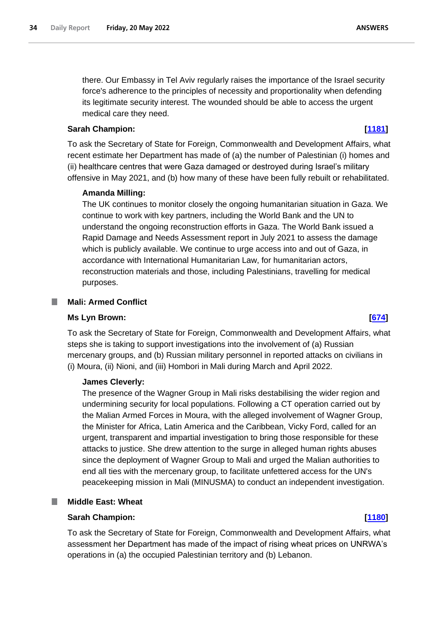there. Our Embassy in Tel Aviv regularly raises the importance of the Israel security force's adherence to the principles of necessity and proportionality when defending its legitimate security interest. The wounded should be able to access the urgent medical care they need.

### **Sarah Champion: [\[1181\]](http://www.parliament.uk/business/publications/written-questions-answers-statements/written-question/Commons/2022-05-12/1181)**

To ask the Secretary of State for Foreign, Commonwealth and Development Affairs, what recent estimate her Department has made of (a) the number of Palestinian (i) homes and (ii) healthcare centres that were Gaza damaged or destroyed during Israel's military offensive in May 2021, and (b) how many of these have been fully rebuilt or rehabilitated.

### **Amanda Milling:**

The UK continues to monitor closely the ongoing humanitarian situation in Gaza. We continue to work with key partners, including the World Bank and the UN to understand the ongoing reconstruction efforts in Gaza. The World Bank issued a Rapid Damage and Needs Assessment report in July 2021 to assess the damage which is publicly available. We continue to urge access into and out of Gaza, in accordance with International Humanitarian Law, for humanitarian actors, reconstruction materials and those, including Palestinians, travelling for medical purposes.

### <span id="page-33-0"></span>**Mali: Armed Conflict**

#### **Ms Lyn Brown: [\[674\]](http://www.parliament.uk/business/publications/written-questions-answers-statements/written-question/Commons/2022-05-11/674)**

To ask the Secretary of State for Foreign, Commonwealth and Development Affairs, what steps she is taking to support investigations into the involvement of (a) Russian mercenary groups, and (b) Russian military personnel in reported attacks on civilians in (i) Moura, (ii) Nioni, and (iii) Hombori in Mali during March and April 2022.

#### **James Cleverly:**

The presence of the Wagner Group in Mali risks destabilising the wider region and undermining security for local populations. Following a CT operation carried out by the Malian Armed Forces in Moura, with the alleged involvement of Wagner Group, the Minister for Africa, Latin America and the Caribbean, Vicky Ford, called for an urgent, transparent and impartial investigation to bring those responsible for these attacks to justice. She drew attention to the surge in alleged human rights abuses since the deployment of Wagner Group to Mali and urged the Malian authorities to end all ties with the mercenary group, to facilitate unfettered access for the UN's peacekeeping mission in Mali (MINUSMA) to conduct an independent investigation.

### <span id="page-33-1"></span>**Middle East: Wheat**

### **Sarah Champion: [\[1180\]](http://www.parliament.uk/business/publications/written-questions-answers-statements/written-question/Commons/2022-05-12/1180)**

To ask the Secretary of State for Foreign, Commonwealth and Development Affairs, what assessment her Department has made of the impact of rising wheat prices on UNRWA's operations in (a) the occupied Palestinian territory and (b) Lebanon.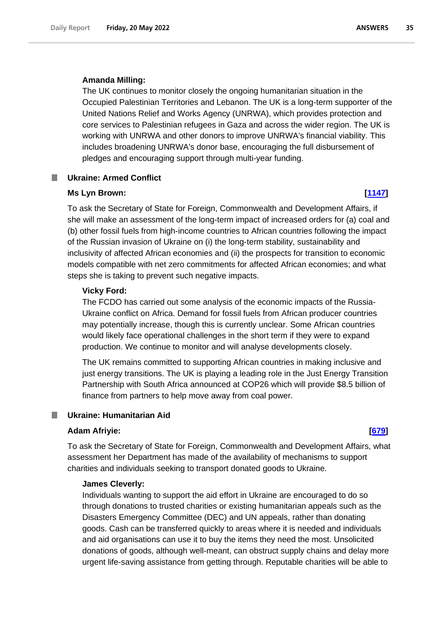#### **Amanda Milling:**

The UK continues to monitor closely the ongoing humanitarian situation in the Occupied Palestinian Territories and Lebanon. The UK is a long-term supporter of the United Nations Relief and Works Agency (UNRWA), which provides protection and core services to Palestinian refugees in Gaza and across the wider region. The UK is working with UNRWA and other donors to improve UNRWA's financial viability. This includes broadening UNRWA's donor base, encouraging the full disbursement of pledges and encouraging support through multi-year funding.

#### <span id="page-34-0"></span>**Ukraine: Armed Conflict**

#### **Ms Lyn Brown: [\[1147\]](http://www.parliament.uk/business/publications/written-questions-answers-statements/written-question/Commons/2022-05-12/1147)**

To ask the Secretary of State for Foreign, Commonwealth and Development Affairs, if she will make an assessment of the long-term impact of increased orders for (a) coal and (b) other fossil fuels from high-income countries to African countries following the impact of the Russian invasion of Ukraine on (i) the long-term stability, sustainability and inclusivity of affected African economies and (ii) the prospects for transition to economic models compatible with net zero commitments for affected African economies; and what steps she is taking to prevent such negative impacts.

#### **Vicky Ford:**

The FCDO has carried out some analysis of the economic impacts of the Russia-Ukraine conflict on Africa. Demand for fossil fuels from African producer countries may potentially increase, though this is currently unclear. Some African countries would likely face operational challenges in the short term if they were to expand production. We continue to monitor and will analyse developments closely.

The UK remains committed to supporting African countries in making inclusive and just energy transitions. The UK is playing a leading role in the Just Energy Transition Partnership with South Africa announced at COP26 which will provide \$8.5 billion of finance from partners to help move away from coal power.

#### <span id="page-34-1"></span>**The Second Ukraine: Humanitarian Aid**

#### **Adam Afriyie: [\[679\]](http://www.parliament.uk/business/publications/written-questions-answers-statements/written-question/Commons/2022-05-11/679)**

To ask the Secretary of State for Foreign, Commonwealth and Development Affairs, what assessment her Department has made of the availability of mechanisms to support charities and individuals seeking to transport donated goods to Ukraine.

#### **James Cleverly:**

Individuals wanting to support the aid effort in Ukraine are encouraged to do so through donations to trusted charities or existing humanitarian appeals such as the Disasters Emergency Committee (DEC) and UN appeals, rather than donating goods. Cash can be transferred quickly to areas where it is needed and individuals and aid organisations can use it to buy the items they need the most. Unsolicited donations of goods, although well-meant, can obstruct supply chains and delay more urgent life-saving assistance from getting through. Reputable charities will be able to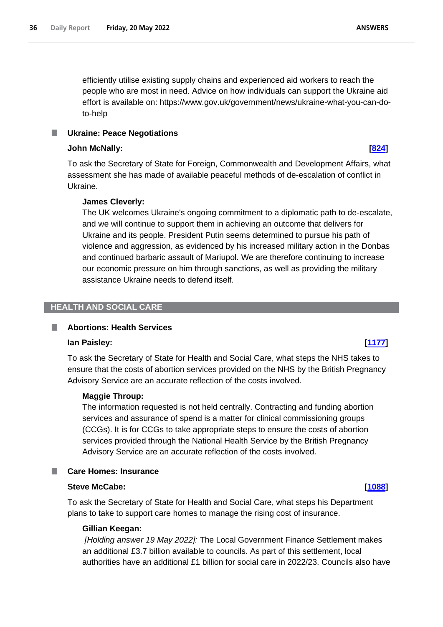efficiently utilise existing supply chains and experienced aid workers to reach the people who are most in need. Advice on how individuals can support the Ukraine aid effort is available on: https://www.gov.uk/government/news/ukraine-what-you-can-doto-help

<span id="page-35-0"></span>T. **Ukraine: Peace Negotiations**

#### **John McNally: [\[824\]](http://www.parliament.uk/business/publications/written-questions-answers-statements/written-question/Commons/2022-05-11/824)**

To ask the Secretary of State for Foreign, Commonwealth and Development Affairs, what assessment she has made of available peaceful methods of de-escalation of conflict in Ukraine.

### **James Cleverly:**

The UK welcomes Ukraine's ongoing commitment to a diplomatic path to de-escalate, and we will continue to support them in achieving an outcome that delivers for Ukraine and its people. President Putin seems determined to pursue his path of violence and aggression, as evidenced by his increased military action in the Donbas and continued barbaric assault of Mariupol. We are therefore continuing to increase our economic pressure on him through sanctions, as well as providing the military assistance Ukraine needs to defend itself.

#### <span id="page-35-1"></span>**HEALTH AND SOCIAL CARE**

#### <span id="page-35-2"></span>ш **Abortions: Health Services**

#### **Ian Paisley: [\[1177\]](http://www.parliament.uk/business/publications/written-questions-answers-statements/written-question/Commons/2022-05-12/1177)**

To ask the Secretary of State for Health and Social Care, what steps the NHS takes to ensure that the costs of abortion services provided on the NHS by the British Pregnancy Advisory Service are an accurate reflection of the costs involved.

#### **Maggie Throup:**

The information requested is not held centrally. Contracting and funding abortion services and assurance of spend is a matter for clinical commissioning groups (CCGs). It is for CCGs to take appropriate steps to ensure the costs of abortion services provided through the National Health Service by the British Pregnancy Advisory Service are an accurate reflection of the costs involved.

#### <span id="page-35-3"></span>**Care Homes: Insurance**

#### **Steve McCabe: [\[1088\]](http://www.parliament.uk/business/publications/written-questions-answers-statements/written-question/Commons/2022-05-12/1088)**

To ask the Secretary of State for Health and Social Care, what steps his Department plans to take to support care homes to manage the rising cost of insurance.

#### **Gillian Keegan:**

*[Holding answer 19 May 2022]:* The Local Government Finance Settlement makes an additional £3.7 billion available to councils. As part of this settlement, local authorities have an additional £1 billion for social care in 2022/23. Councils also have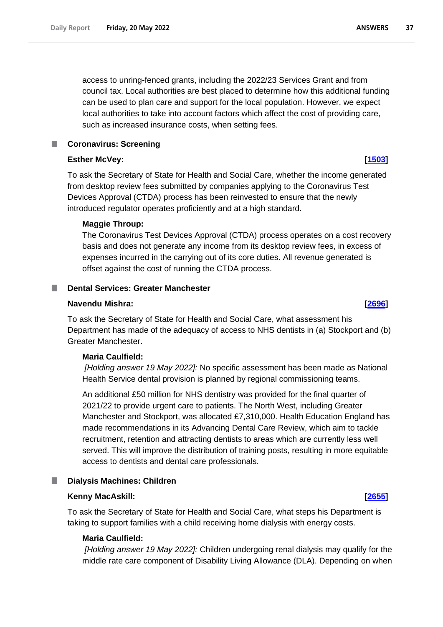access to unring-fenced grants, including the 2022/23 Services Grant and from council tax. Local authorities are best placed to determine how this additional funding can be used to plan care and support for the local population. However, we expect local authorities to take into account factors which affect the cost of providing care, such as increased insurance costs, when setting fees.

## <span id="page-36-0"></span>**Coronavirus: Screening**

## **Esther McVey: [\[1503\]](http://www.parliament.uk/business/publications/written-questions-answers-statements/written-question/Commons/2022-05-13/1503)**

To ask the Secretary of State for Health and Social Care, whether the income generated from desktop review fees submitted by companies applying to the Coronavirus Test Devices Approval (CTDA) process has been reinvested to ensure that the newly introduced regulator operates proficiently and at a high standard.

## **Maggie Throup:**

The Coronavirus Test Devices Approval (CTDA) process operates on a cost recovery basis and does not generate any income from its desktop review fees, in excess of expenses incurred in the carrying out of its core duties. All revenue generated is offset against the cost of running the CTDA process.

## <span id="page-36-1"></span>**Dental Services: Greater Manchester**

### **Navendu Mishra: [\[2696\]](http://www.parliament.uk/business/publications/written-questions-answers-statements/written-question/Commons/2022-05-16/2696)**

To ask the Secretary of State for Health and Social Care, what assessment his Department has made of the adequacy of access to NHS dentists in (a) Stockport and (b) Greater Manchester.

## **Maria Caulfield:**

*[Holding answer 19 May 2022]:* No specific assessment has been made as National Health Service dental provision is planned by regional commissioning teams.

An additional £50 million for NHS dentistry was provided for the final quarter of 2021/22 to provide urgent care to patients. The North West, including Greater Manchester and Stockport, was allocated £7,310,000. Health Education England has made recommendations in its Advancing Dental Care Review, which aim to tackle recruitment, retention and attracting dentists to areas which are currently less well served. This will improve the distribution of training posts, resulting in more equitable access to dentists and dental care professionals.

## <span id="page-36-2"></span>**Dialysis Machines: Children**

## **Kenny MacAskill: [\[2655\]](http://www.parliament.uk/business/publications/written-questions-answers-statements/written-question/Commons/2022-05-16/2655)**

To ask the Secretary of State for Health and Social Care, what steps his Department is taking to support families with a child receiving home dialysis with energy costs.

## **Maria Caulfield:**

*[Holding answer 19 May 2022]:* Children undergoing renal dialysis may qualify for the middle rate care component of Disability Living Allowance (DLA). Depending on when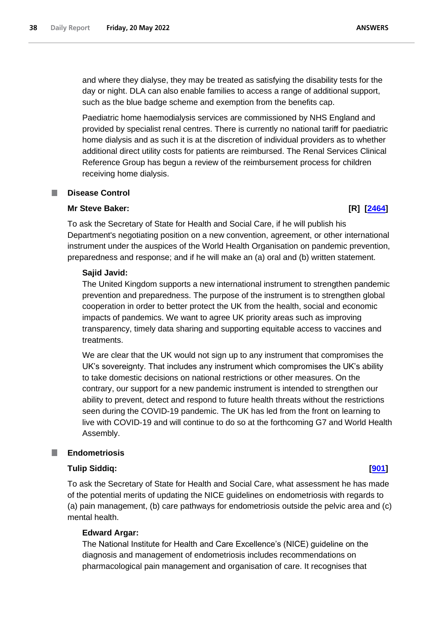and where they dialyse, they may be treated as satisfying the disability tests for the day or night. DLA can also enable families to access a range of additional support, such as the blue badge scheme and exemption from the benefits cap.

Paediatric home haemodialysis services are commissioned by NHS England and provided by specialist renal centres. There is currently no national tariff for paediatric home dialysis and as such it is at the discretion of individual providers as to whether additional direct utility costs for patients are reimbursed. The Renal Services Clinical Reference Group has begun a review of the reimbursement process for children receiving home dialysis.

#### <span id="page-37-0"></span>T. **Disease Control**

#### **Mr Steve Baker: [R] [\[2464\]](http://www.parliament.uk/business/publications/written-questions-answers-statements/written-question/Commons/2022-05-16/2464)**

To ask the Secretary of State for Health and Social Care, if he will publish his Department's negotiating position on a new convention, agreement, or other international instrument under the auspices of the World Health Organisation on pandemic prevention, preparedness and response; and if he will make an (a) oral and (b) written statement.

#### **Sajid Javid:**

The United Kingdom supports a new international instrument to strengthen pandemic prevention and preparedness. The purpose of the instrument is to strengthen global cooperation in order to better protect the UK from the health, social and economic impacts of pandemics. We want to agree UK priority areas such as improving transparency, timely data sharing and supporting equitable access to vaccines and treatments.

We are clear that the UK would not sign up to any instrument that compromises the UK's sovereignty. That includes any instrument which compromises the UK's ability to take domestic decisions on national restrictions or other measures. On the contrary, our support for a new pandemic instrument is intended to strengthen our ability to prevent, detect and respond to future health threats without the restrictions seen during the COVID-19 pandemic. The UK has led from the front on learning to live with COVID-19 and will continue to do so at the forthcoming G7 and World Health Assembly.

#### <span id="page-37-1"></span>**Endometriosis**

#### **Tulip Siddiq: [\[901\]](http://www.parliament.uk/business/publications/written-questions-answers-statements/written-question/Commons/2022-05-11/901)**

To ask the Secretary of State for Health and Social Care, what assessment he has made of the potential merits of updating the NICE guidelines on endometriosis with regards to (a) pain management, (b) care pathways for endometriosis outside the pelvic area and (c) mental health.

#### **Edward Argar:**

The National Institute for Health and Care Excellence's (NICE) guideline on the diagnosis and management of endometriosis includes recommendations on pharmacological pain management and organisation of care. It recognises that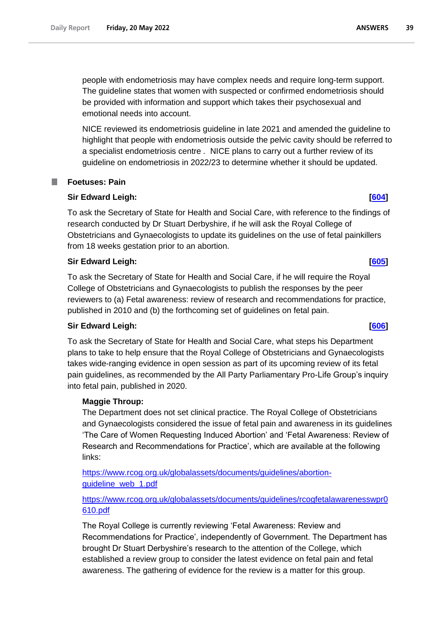people with endometriosis may have complex needs and require long-term support. The guideline states that women with suspected or confirmed endometriosis should be provided with information and support which takes their psychosexual and emotional needs into account.

NICE reviewed its endometriosis guideline in late 2021 and amended the guideline to highlight that people with endometriosis outside the pelvic cavity should be referred to a specialist endometriosis centre *.* NICE plans to carry out a further review of its guideline on endometriosis in 2022/23 to determine whether it should be updated.

## <span id="page-38-0"></span>**Foetuses: Pain**

### **Sir Edward Leigh: [\[604\]](http://www.parliament.uk/business/publications/written-questions-answers-statements/written-question/Commons/2022-05-11/604)**

To ask the Secretary of State for Health and Social Care, with reference to the findings of research conducted by Dr Stuart Derbyshire, if he will ask the Royal College of Obstetricians and Gynaecologists to update its guidelines on the use of fetal painkillers from 18 weeks gestation prior to an abortion.

### **Sir Edward Leigh: [\[605\]](http://www.parliament.uk/business/publications/written-questions-answers-statements/written-question/Commons/2022-05-11/605)**

To ask the Secretary of State for Health and Social Care, if he will require the Royal College of Obstetricians and Gynaecologists to publish the responses by the peer reviewers to (a) Fetal awareness: review of research and recommendations for practice, published in 2010 and (b) the forthcoming set of guidelines on fetal pain.

## **Sir Edward Leigh: [\[606\]](http://www.parliament.uk/business/publications/written-questions-answers-statements/written-question/Commons/2022-05-11/606)**

To ask the Secretary of State for Health and Social Care, what steps his Department plans to take to help ensure that the Royal College of Obstetricians and Gynaecologists takes wide-ranging evidence in open session as part of its upcoming review of its fetal pain guidelines, as recommended by the All Party Parliamentary Pro-Life Group's inquiry into fetal pain, published in 2020.

#### **Maggie Throup:**

The Department does not set clinical practice. The Royal College of Obstetricians and Gynaecologists considered the issue of fetal pain and awareness in its guidelines 'The Care of Women Requesting Induced Abortion' and 'Fetal Awareness: Review of Research and Recommendations for Practice', which are available at the following links:

[https://www.rcog.org.uk/globalassets/documents/guidelines/abortion](https://eur03.safelinks.protection.outlook.com/?url=https%3A%2F%2Fwww.rcog.org.uk%2Fglobalassets%2Fdocuments%2Fguidelines%2Fabortion-guideline_web_1.pdf&data=05%7C01%7Cpaul.hughes%40dhsc.gov.uk%7C1896c426ef3d4824829308da34fbf650%7C61278c3091a84c318c1fef4de8973a1c%7C1%7C0%7C637880554009372053%7CUnknown%7CTWFpbGZsb3d8eyJWIjoiMC4wLjAwMDAiLCJQIjoiV2luMzIiLCJBTiI6Ik1haWwiLCJXVCI6Mn0%3D%7C3000%7C%7C%7C&sdata=QSQGdWB%2B5%2F4g8jwh5BpNRc86T4K7MqIKjflxcjaYasE%3D&reserved=0)[guideline\\_web\\_1.pdf](https://eur03.safelinks.protection.outlook.com/?url=https%3A%2F%2Fwww.rcog.org.uk%2Fglobalassets%2Fdocuments%2Fguidelines%2Fabortion-guideline_web_1.pdf&data=05%7C01%7Cpaul.hughes%40dhsc.gov.uk%7C1896c426ef3d4824829308da34fbf650%7C61278c3091a84c318c1fef4de8973a1c%7C1%7C0%7C637880554009372053%7CUnknown%7CTWFpbGZsb3d8eyJWIjoiMC4wLjAwMDAiLCJQIjoiV2luMzIiLCJBTiI6Ik1haWwiLCJXVCI6Mn0%3D%7C3000%7C%7C%7C&sdata=QSQGdWB%2B5%2F4g8jwh5BpNRc86T4K7MqIKjflxcjaYasE%3D&reserved=0)

## [https://www.rcog.org.uk/globalassets/documents/guidelines/rcogfetalawarenesswpr0](https://www.rcog.org.uk/globalassets/documents/guidelines/rcogfetalawarenesswpr0610.pdf) [610.pdf](https://www.rcog.org.uk/globalassets/documents/guidelines/rcogfetalawarenesswpr0610.pdf)

The Royal College is currently reviewing 'Fetal Awareness: Review and Recommendations for Practice', independently of Government. The Department has brought Dr Stuart Derbyshire's research to the attention of the College, which established a review group to consider the latest evidence on fetal pain and fetal awareness. The gathering of evidence for the review is a matter for this group.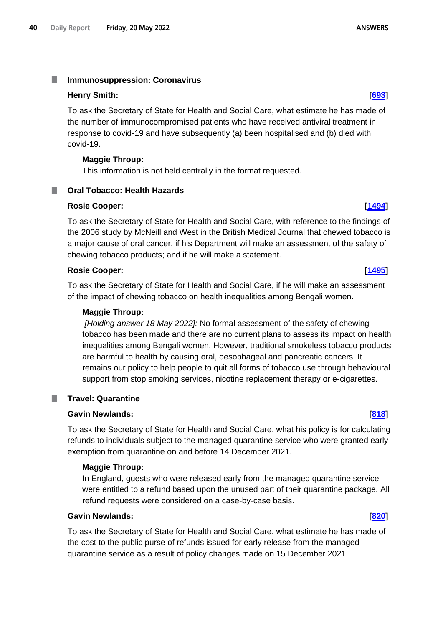#### <span id="page-39-0"></span>T. **Immunosuppression: Coronavirus**

### **Henry Smith: [\[693\]](http://www.parliament.uk/business/publications/written-questions-answers-statements/written-question/Commons/2022-05-11/693)**

To ask the Secretary of State for Health and Social Care, what estimate he has made of the number of immunocompromised patients who have received antiviral treatment in response to covid-19 and have subsequently (a) been hospitalised and (b) died with covid-19.

### **Maggie Throup:**

<span id="page-39-1"></span>**Oral Tobacco: Health Hazards**

This information is not held centrally in the format requested.

## **Rosie Cooper: [\[1494\]](http://www.parliament.uk/business/publications/written-questions-answers-statements/written-question/Commons/2022-05-13/1494)**

To ask the Secretary of State for Health and Social Care, with reference to the findings of the 2006 study by McNeill and West in the British Medical Journal that chewed tobacco is a major cause of oral cancer, if his Department will make an assessment of the safety of chewing tobacco products; and if he will make a statement.

### **Rosie Cooper: [\[1495\]](http://www.parliament.uk/business/publications/written-questions-answers-statements/written-question/Commons/2022-05-13/1495)**

To ask the Secretary of State for Health and Social Care, if he will make an assessment of the impact of chewing tobacco on health inequalities among Bengali women.

### **Maggie Throup:**

*[Holding answer 18 May 2022]:* No formal assessment of the safety of chewing tobacco has been made and there are no current plans to assess its impact on health inequalities among Bengali women. However, traditional smokeless tobacco products are harmful to health by causing oral, oesophageal and pancreatic cancers. It remains our policy to help people to quit all forms of tobacco use through behavioural support from stop smoking services, nicotine replacement therapy or e-cigarettes.

## **Travel: Quarantine**

<span id="page-39-2"></span>a a s

## **Gavin Newlands: [\[818\]](http://www.parliament.uk/business/publications/written-questions-answers-statements/written-question/Commons/2022-05-11/818)**

To ask the Secretary of State for Health and Social Care, what his policy is for calculating refunds to individuals subject to the managed quarantine service who were granted early exemption from quarantine on and before 14 December 2021.

## **Maggie Throup:**

In England, guests who were released early from the managed quarantine service were entitled to a refund based upon the unused part of their quarantine package. All refund requests were considered on a case-by-case basis.

#### **Gavin Newlands: [\[820\]](http://www.parliament.uk/business/publications/written-questions-answers-statements/written-question/Commons/2022-05-11/820)**

To ask the Secretary of State for Health and Social Care, what estimate he has made of the cost to the public purse of refunds issued for early release from the managed quarantine service as a result of policy changes made on 15 December 2021.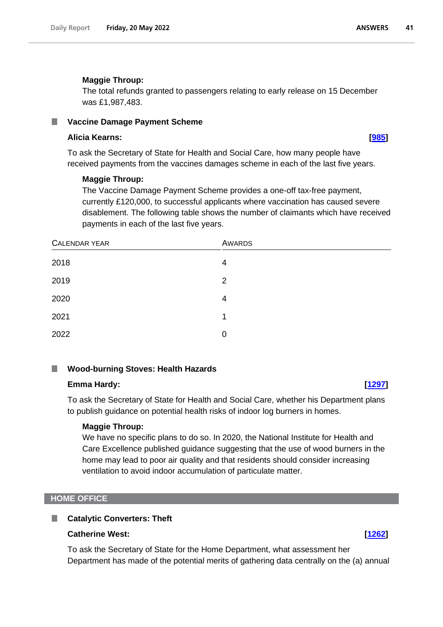### **Maggie Throup:**

The total refunds granted to passengers relating to early release on 15 December was £1,987,483.

#### <span id="page-40-0"></span>**Vaccine Damage Payment Scheme** ш

#### **Alicia Kearns: [\[985\]](http://www.parliament.uk/business/publications/written-questions-answers-statements/written-question/Commons/2022-05-11/985)**

To ask the Secretary of State for Health and Social Care, how many people have received payments from the vaccines damages scheme in each of the last five years.

#### **Maggie Throup:**

The Vaccine Damage Payment Scheme provides a one-off tax-free payment, currently £120,000, to successful applicants where vaccination has caused severe disablement. The following table shows the number of claimants which have received payments in each of the last five years.

| CALENDAR YEAR | <b>AWARDS</b>  |  |
|---------------|----------------|--|
| 2018          | 4              |  |
| 2019          | $\overline{2}$ |  |
| 2020          | 4              |  |
| 2021          | 1              |  |
| 2022          | 0              |  |

#### <span id="page-40-1"></span>**Wood-burning Stoves: Health Hazards**

#### **Emma Hardy: [\[1297\]](http://www.parliament.uk/business/publications/written-questions-answers-statements/written-question/Commons/2022-05-12/1297)**

To ask the Secretary of State for Health and Social Care, whether his Department plans to publish guidance on potential health risks of indoor log burners in homes.

#### **Maggie Throup:**

We have no specific plans to do so. In 2020, the National Institute for Health and Care Excellence published guidance suggesting that the use of wood burners in the home may lead to poor air quality and that residents should consider increasing ventilation to avoid indoor accumulation of particulate matter.

#### <span id="page-40-2"></span>**HOME OFFICE**

### <span id="page-40-3"></span>**Catalytic Converters: Theft**

### **Catherine West: [\[1262\]](http://www.parliament.uk/business/publications/written-questions-answers-statements/written-question/Commons/2022-05-12/1262)**

To ask the Secretary of State for the Home Department, what assessment her Department has made of the potential merits of gathering data centrally on the (a) annual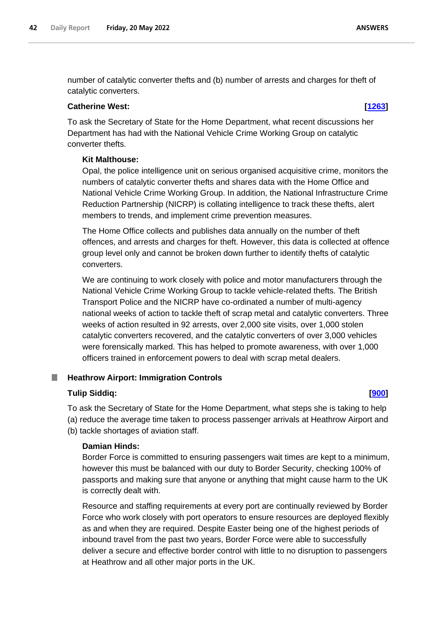number of catalytic converter thefts and (b) number of arrests and charges for theft of catalytic converters.

### **Catherine West: [\[1263\]](http://www.parliament.uk/business/publications/written-questions-answers-statements/written-question/Commons/2022-05-12/1263)**

To ask the Secretary of State for the Home Department, what recent discussions her Department has had with the National Vehicle Crime Working Group on catalytic converter thefts.

### **Kit Malthouse:**

Opal, the police intelligence unit on serious organised acquisitive crime, monitors the numbers of catalytic converter thefts and shares data with the Home Office and National Vehicle Crime Working Group. In addition, the National Infrastructure Crime Reduction Partnership (NICRP) is collating intelligence to track these thefts, alert members to trends, and implement crime prevention measures.

The Home Office collects and publishes data annually on the number of theft offences, and arrests and charges for theft. However, this data is collected at offence group level only and cannot be broken down further to identify thefts of catalytic converters.

We are continuing to work closely with police and motor manufacturers through the National Vehicle Crime Working Group to tackle vehicle-related thefts. The British Transport Police and the NICRP have co-ordinated a number of multi-agency national weeks of action to tackle theft of scrap metal and catalytic converters. Three weeks of action resulted in 92 arrests, over 2,000 site visits, over 1,000 stolen catalytic converters recovered, and the catalytic converters of over 3,000 vehicles were forensically marked. This has helped to promote awareness, with over 1,000 officers trained in enforcement powers to deal with scrap metal dealers.

#### <span id="page-41-0"></span>**Heathrow Airport: Immigration Controls** .

## **Tulip Siddiq: [\[900\]](http://www.parliament.uk/business/publications/written-questions-answers-statements/written-question/Commons/2022-05-11/900)**

To ask the Secretary of State for the Home Department, what steps she is taking to help (a) reduce the average time taken to process passenger arrivals at Heathrow Airport and (b) tackle shortages of aviation staff.

## **Damian Hinds:**

Border Force is committed to ensuring passengers wait times are kept to a minimum, however this must be balanced with our duty to Border Security, checking 100% of passports and making sure that anyone or anything that might cause harm to the UK is correctly dealt with.

Resource and staffing requirements at every port are continually reviewed by Border Force who work closely with port operators to ensure resources are deployed flexibly as and when they are required. Despite Easter being one of the highest periods of inbound travel from the past two years, Border Force were able to successfully deliver a secure and effective border control with little to no disruption to passengers at Heathrow and all other major ports in the UK.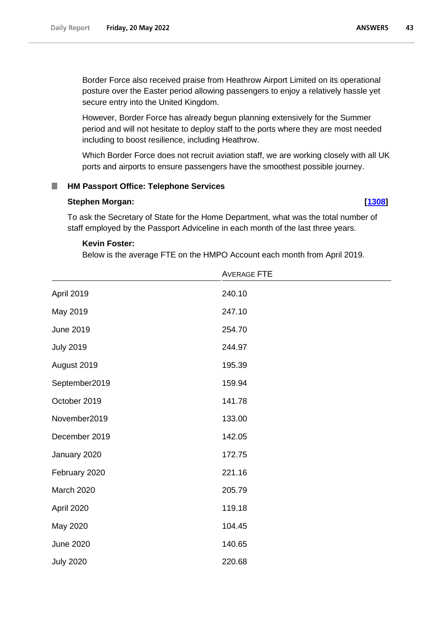Border Force also received praise from Heathrow Airport Limited on its operational posture over the Easter period allowing passengers to enjoy a relatively hassle yet secure entry into the United Kingdom.

However, Border Force has already begun planning extensively for the Summer period and will not hesitate to deploy staff to the ports where they are most needed including to boost resilience, including Heathrow.

Which Border Force does not recruit aviation staff, we are working closely with all UK ports and airports to ensure passengers have the smoothest possible journey.

#### <span id="page-42-0"></span>n. **HM Passport Office: Telephone Services**

#### **Stephen Morgan: [\[1308\]](http://www.parliament.uk/business/publications/written-questions-answers-statements/written-question/Commons/2022-05-12/1308)**

To ask the Secretary of State for the Home Department, what was the total number of staff employed by the Passport Adviceline in each month of the last three years.

### **Kevin Foster:**

Below is the average FTE on the HMPO Account each month from April 2019.

|                  | <b>AVERAGE FTE</b> |  |
|------------------|--------------------|--|
| April 2019       | 240.10             |  |
| May 2019         | 247.10             |  |
| <b>June 2019</b> | 254.70             |  |
| <b>July 2019</b> | 244.97             |  |
| August 2019      | 195.39             |  |
| September2019    | 159.94             |  |
| October 2019     | 141.78             |  |
| November2019     | 133.00             |  |
| December 2019    | 142.05             |  |
| January 2020     | 172.75             |  |
| February 2020    | 221.16             |  |
| March 2020       | 205.79             |  |
| April 2020       | 119.18             |  |
| May 2020         | 104.45             |  |
| <b>June 2020</b> | 140.65             |  |
| <b>July 2020</b> | 220.68             |  |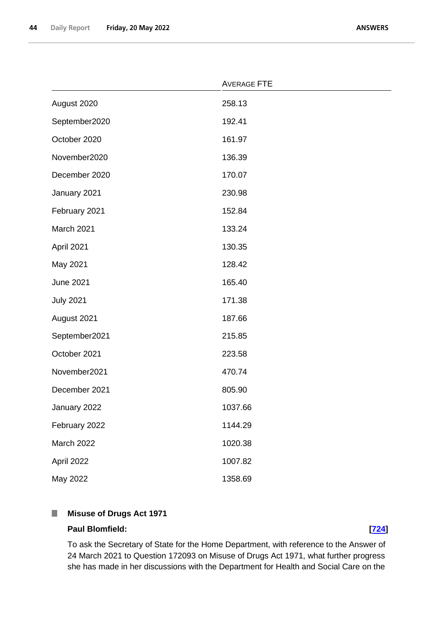|                  | <b>AVERAGE FTE</b> |  |
|------------------|--------------------|--|
| August 2020      | 258.13             |  |
| September2020    | 192.41             |  |
| October 2020     | 161.97             |  |
| November2020     | 136.39             |  |
| December 2020    | 170.07             |  |
| January 2021     | 230.98             |  |
| February 2021    | 152.84             |  |
| March 2021       | 133.24             |  |
| April 2021       | 130.35             |  |
| May 2021         | 128.42             |  |
| <b>June 2021</b> | 165.40             |  |
| <b>July 2021</b> | 171.38             |  |
| August 2021      | 187.66             |  |
| September2021    | 215.85             |  |
| October 2021     | 223.58             |  |
| November2021     | 470.74             |  |
| December 2021    | 805.90             |  |
| January 2022     | 1037.66            |  |
| February 2022    | 1144.29            |  |
| March 2022       | 1020.38            |  |
| April 2022       | 1007.82            |  |
| May 2022         | 1358.69            |  |

#### <span id="page-43-0"></span>**Misuse of Drugs Act 1971**  $\mathbb{R}^n$

### **Paul Blomfield: [\[724\]](http://www.parliament.uk/business/publications/written-questions-answers-statements/written-question/Commons/2022-05-11/724)**

To ask the Secretary of State for the Home Department, with reference to the Answer of 24 March 2021 to Question 172093 on Misuse of Drugs Act 1971, what further progress she has made in her discussions with the Department for Health and Social Care on the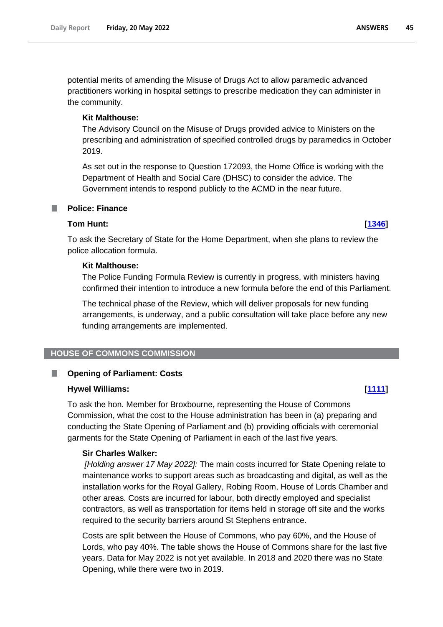potential merits of amending the Misuse of Drugs Act to allow paramedic advanced practitioners working in hospital settings to prescribe medication they can administer in the community.

### **Kit Malthouse:**

The Advisory Council on the Misuse of Drugs provided advice to Ministers on the prescribing and administration of specified controlled drugs by paramedics in October 2019.

As set out in the response to Question 172093, the Home Office is working with the Department of Health and Social Care (DHSC) to consider the advice. The Government intends to respond publicly to the ACMD in the near future.

## <span id="page-44-0"></span>**Tom Hunt: [\[1346\]](http://www.parliament.uk/business/publications/written-questions-answers-statements/written-question/Commons/2022-05-12/1346)**

To ask the Secretary of State for the Home Department, when she plans to review the police allocation formula.

### **Kit Malthouse:**

The Police Funding Formula Review is currently in progress, with ministers having confirmed their intention to introduce a new formula before the end of this Parliament.

The technical phase of the Review, which will deliver proposals for new funding arrangements, is underway, and a public consultation will take place before any new funding arrangements are implemented.

## <span id="page-44-1"></span>**HOUSE OF COMMONS COMMISSION**

#### <span id="page-44-2"></span>B **Opening of Parliament: Costs**

#### **Hywel Williams: [\[1111\]](http://www.parliament.uk/business/publications/written-questions-answers-statements/written-question/Commons/2022-05-12/1111)**

To ask the hon. Member for Broxbourne, representing the House of Commons Commission, what the cost to the House administration has been in (a) preparing and conducting the State Opening of Parliament and (b) providing officials with ceremonial garments for the State Opening of Parliament in each of the last five years.

## **Sir Charles Walker:**

*[Holding answer 17 May 2022]:* The main costs incurred for State Opening relate to maintenance works to support areas such as broadcasting and digital, as well as the installation works for the Royal Gallery, Robing Room, House of Lords Chamber and other areas. Costs are incurred for labour, both directly employed and specialist contractors, as well as transportation for items held in storage off site and the works required to the security barriers around St Stephens entrance.

Costs are split between the House of Commons, who pay 60%, and the House of Lords, who pay 40%. The table shows the House of Commons share for the last five years. Data for May 2022 is not yet available. In 2018 and 2020 there was no State Opening, while there were two in 2019.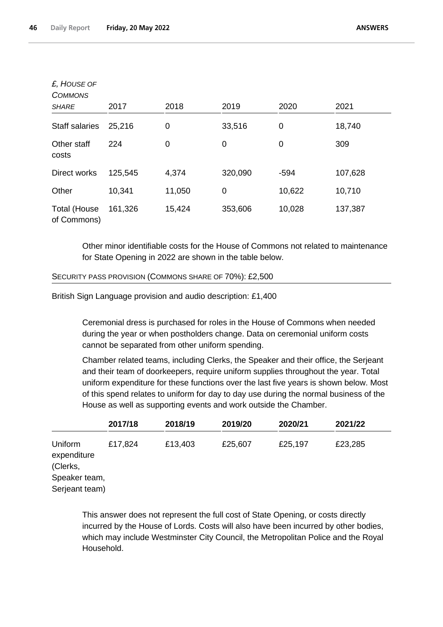| £, HOUSE OF<br><b>COMMONS</b>      |         |        |                |        |         |
|------------------------------------|---------|--------|----------------|--------|---------|
| <b>SHARE</b>                       | 2017    | 2018   | 2019           | 2020   | 2021    |
| <b>Staff salaries</b>              | 25,216  | 0      | 33,516         | 0      | 18,740  |
| Other staff<br>costs               | 224     | 0      | 0              | 0      | 309     |
| Direct works                       | 125,545 | 4,374  | 320,090        | $-594$ | 107,628 |
| Other                              | 10,341  | 11,050 | $\overline{0}$ | 10,622 | 10,710  |
| <b>Total (House</b><br>of Commons) | 161,326 | 15,424 | 353,606        | 10,028 | 137,387 |

Other minor identifiable costs for the House of Commons not related to maintenance for State Opening in 2022 are shown in the table below.

#### SECURITY PASS PROVISION (COMMONS SHARE OF 70%): £2,500

British Sign Language provision and audio description: £1,400

Ceremonial dress is purchased for roles in the House of Commons when needed during the year or when postholders change. Data on ceremonial uniform costs cannot be separated from other uniform spending.

Chamber related teams, including Clerks, the Speaker and their office, the Serjeant and their team of doorkeepers, require uniform supplies throughout the year. Total uniform expenditure for these functions over the last five years is shown below. Most of this spend relates to uniform for day to day use during the normal business of the House as well as supporting events and work outside the Chamber.

|                                                                       | 2017/18 | 2018/19 | 2019/20 | 2020/21 | 2021/22 |  |
|-----------------------------------------------------------------------|---------|---------|---------|---------|---------|--|
| Uniform<br>expenditure<br>(Clerks,<br>Speaker team,<br>Serjeant team) | £17,824 | £13,403 | £25,607 | £25,197 | £23,285 |  |

This answer does not represent the full cost of State Opening, or costs directly incurred by the House of Lords. Costs will also have been incurred by other bodies, which may include Westminster City Council, the Metropolitan Police and the Royal Household.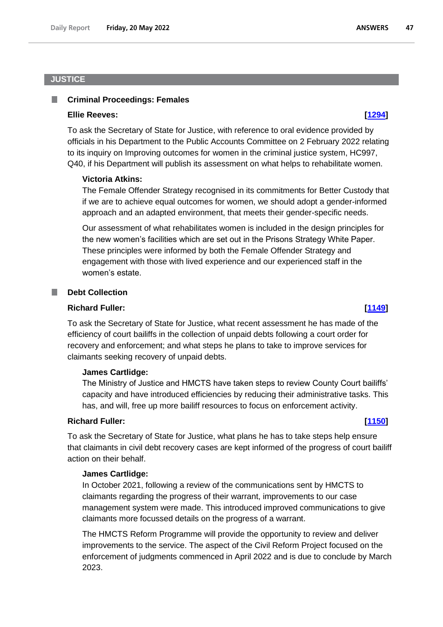### <span id="page-46-0"></span>**JUSTICE**

#### <span id="page-46-1"></span>. **Criminal Proceedings: Females**

#### **Ellie Reeves: [\[1294\]](http://www.parliament.uk/business/publications/written-questions-answers-statements/written-question/Commons/2022-05-12/1294)**

To ask the Secretary of State for Justice, with reference to oral evidence provided by officials in his Department to the Public Accounts Committee on 2 February 2022 relating to its inquiry on Improving outcomes for women in the criminal justice system, HC997, Q40, if his Department will publish its assessment on what helps to rehabilitate women.

#### **Victoria Atkins:**

The Female Offender Strategy recognised in its commitments for Better Custody that if we are to achieve equal outcomes for women, we should adopt a gender-informed approach and an adapted environment, that meets their gender-specific needs.

Our assessment of what rehabilitates women is included in the design principles for the new women's facilities which are set out in the Prisons Strategy White Paper. These principles were informed by both the Female Offender Strategy and engagement with those with lived experience and our experienced staff in the women's estate.

## <span id="page-46-2"></span>**Debt Collection**

### **Richard Fuller: [\[1149\]](http://www.parliament.uk/business/publications/written-questions-answers-statements/written-question/Commons/2022-05-12/1149)**

To ask the Secretary of State for Justice, what recent assessment he has made of the efficiency of court bailiffs in the collection of unpaid debts following a court order for recovery and enforcement; and what steps he plans to take to improve services for claimants seeking recovery of unpaid debts.

#### **James Cartlidge:**

The Ministry of Justice and HMCTS have taken steps to review County Court bailiffs' capacity and have introduced efficiencies by reducing their administrative tasks. This has, and will, free up more bailiff resources to focus on enforcement activity.

### **Richard Fuller: [\[1150\]](http://www.parliament.uk/business/publications/written-questions-answers-statements/written-question/Commons/2022-05-12/1150)**

To ask the Secretary of State for Justice, what plans he has to take steps help ensure that claimants in civil debt recovery cases are kept informed of the progress of court bailiff action on their behalf.

#### **James Cartlidge:**

In October 2021, following a review of the communications sent by HMCTS to claimants regarding the progress of their warrant, improvements to our case management system were made. This introduced improved communications to give claimants more focussed details on the progress of a warrant.

The HMCTS Reform Programme will provide the opportunity to review and deliver improvements to the service. The aspect of the Civil Reform Project focused on the enforcement of judgments commenced in April 2022 and is due to conclude by March 2023.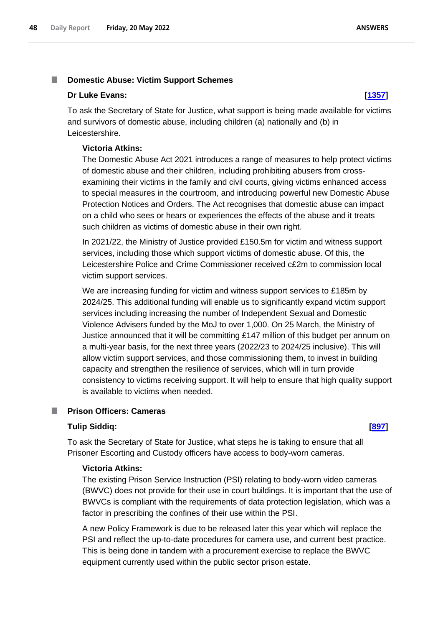#### <span id="page-47-0"></span>T. **Domestic Abuse: Victim Support Schemes**

#### **Dr Luke Evans: [\[1357\]](http://www.parliament.uk/business/publications/written-questions-answers-statements/written-question/Commons/2022-05-12/1357)**

To ask the Secretary of State for Justice, what support is being made available for victims and survivors of domestic abuse, including children (a) nationally and (b) in Leicestershire.

#### **Victoria Atkins:**

The Domestic Abuse Act 2021 introduces a range of measures to help protect victims of domestic abuse and their children, including prohibiting abusers from crossexamining their victims in the family and civil courts, giving victims enhanced access to special measures in the courtroom, and introducing powerful new Domestic Abuse Protection Notices and Orders. The Act recognises that domestic abuse can impact on a child who sees or hears or experiences the effects of the abuse and it treats such children as victims of domestic abuse in their own right.

In 2021/22, the Ministry of Justice provided £150.5m for victim and witness support services, including those which support victims of domestic abuse. Of this, the Leicestershire Police and Crime Commissioner received c£2m to commission local victim support services.

We are increasing funding for victim and witness support services to £185m by 2024/25. This additional funding will enable us to significantly expand victim support services including increasing the number of Independent Sexual and Domestic Violence Advisers funded by the MoJ to over 1,000. On 25 March, the Ministry of Justice announced that it will be committing £147 million of this budget per annum on a multi-year basis, for the next three years (2022/23 to 2024/25 inclusive). This will allow victim support services, and those commissioning them, to invest in building capacity and strengthen the resilience of services, which will in turn provide consistency to victims receiving support. It will help to ensure that high quality support is available to victims when needed.

#### <span id="page-47-1"></span>**Prison Officers: Cameras** ш

#### **Tulip Siddiq: [\[897\]](http://www.parliament.uk/business/publications/written-questions-answers-statements/written-question/Commons/2022-05-11/897)**

To ask the Secretary of State for Justice, what steps he is taking to ensure that all Prisoner Escorting and Custody officers have access to body-worn cameras.

#### **Victoria Atkins:**

The existing Prison Service Instruction (PSI) relating to body-worn video cameras (BWVC) does not provide for their use in court buildings. It is important that the use of BWVCs is compliant with the requirements of data protection legislation, which was a factor in prescribing the confines of their use within the PSI.

A new Policy Framework is due to be released later this year which will replace the PSI and reflect the up-to-date procedures for camera use, and current best practice. This is being done in tandem with a procurement exercise to replace the BWVC equipment currently used within the public sector prison estate.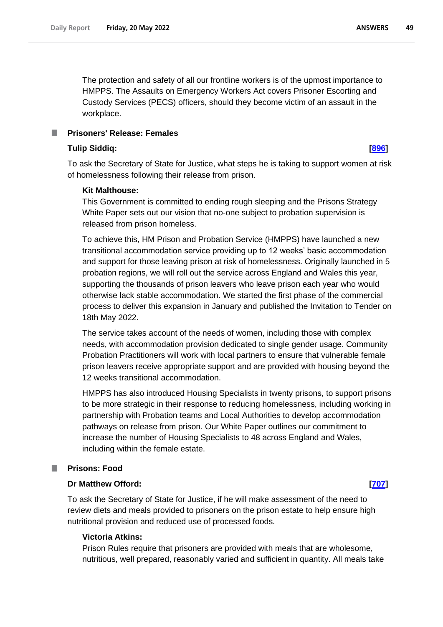**ANSWERS** 49

The protection and safety of all our frontline workers is of the upmost importance to HMPPS. The Assaults on Emergency Workers Act covers Prisoner Escorting and Custody Services (PECS) officers, should they become victim of an assault in the workplace.

<span id="page-48-0"></span>**Prisoners' Release: Females**

#### **Tulip Siddiq: [\[896\]](http://www.parliament.uk/business/publications/written-questions-answers-statements/written-question/Commons/2022-05-11/896)**

To ask the Secretary of State for Justice, what steps he is taking to support women at risk of homelessness following their release from prison.

#### **Kit Malthouse:**

This Government is committed to ending rough sleeping and the Prisons Strategy White Paper sets out our vision that no-one subject to probation supervision is released from prison homeless.

To achieve this, HM Prison and Probation Service (HMPPS) have launched a new transitional accommodation service providing up to 12 weeks' basic accommodation and support for those leaving prison at risk of homelessness. Originally launched in 5 probation regions, we will roll out the service across England and Wales this year, supporting the thousands of prison leavers who leave prison each year who would otherwise lack stable accommodation. We started the first phase of the commercial process to deliver this expansion in January and published the Invitation to Tender on 18th May 2022.

The service takes account of the needs of women, including those with complex needs, with accommodation provision dedicated to single gender usage. Community Probation Practitioners will work with local partners to ensure that vulnerable female prison leavers receive appropriate support and are provided with housing beyond the 12 weeks transitional accommodation.

HMPPS has also introduced Housing Specialists in twenty prisons, to support prisons to be more strategic in their response to reducing homelessness, including working in partnership with Probation teams and Local Authorities to develop accommodation pathways on release from prison. Our White Paper outlines our commitment to increase the number of Housing Specialists to 48 across England and Wales, including within the female estate.

### <span id="page-48-1"></span>**Prisons: Food**

#### **Dr Matthew Offord: [\[707\]](http://www.parliament.uk/business/publications/written-questions-answers-statements/written-question/Commons/2022-05-11/707)**

To ask the Secretary of State for Justice, if he will make assessment of the need to review diets and meals provided to prisoners on the prison estate to help ensure high nutritional provision and reduced use of processed foods.

#### **Victoria Atkins:**

Prison Rules require that prisoners are provided with meals that are wholesome, nutritious, well prepared, reasonably varied and sufficient in quantity. All meals take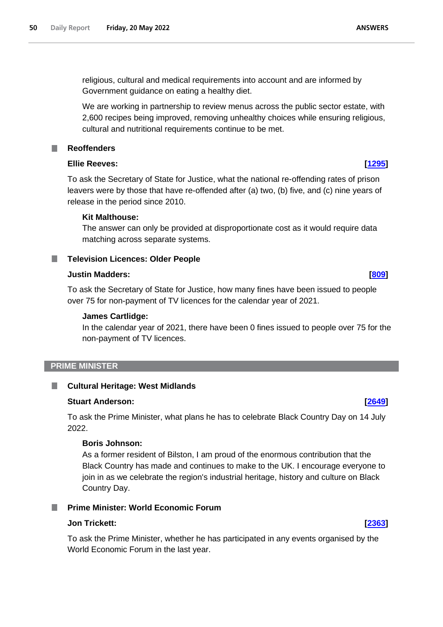religious, cultural and medical requirements into account and are informed by Government guidance on eating a healthy diet.

We are working in partnership to review menus across the public sector estate, with 2,600 recipes being improved, removing unhealthy choices while ensuring religious, cultural and nutritional requirements continue to be met.

### <span id="page-49-0"></span>**Reoffenders**

### **Ellie Reeves: [\[1295\]](http://www.parliament.uk/business/publications/written-questions-answers-statements/written-question/Commons/2022-05-12/1295)**

To ask the Secretary of State for Justice, what the national re-offending rates of prison leavers were by those that have re-offended after (a) two, (b) five, and (c) nine years of release in the period since 2010.

### **Kit Malthouse:**

The answer can only be provided at disproportionate cost as it would require data matching across separate systems.

## <span id="page-49-1"></span>**Television Licences: Older People**

#### **Justin Madders: [\[809\]](http://www.parliament.uk/business/publications/written-questions-answers-statements/written-question/Commons/2022-05-11/809)**

To ask the Secretary of State for Justice, how many fines have been issued to people over 75 for non-payment of TV licences for the calendar year of 2021.

### **James Cartlidge:**

In the calendar year of 2021, there have been 0 fines issued to people over 75 for the non-payment of TV licences.

#### <span id="page-49-2"></span>**PRIME MINISTER**

#### <span id="page-49-3"></span>ш **Cultural Heritage: West Midlands**

#### **Stuart Anderson: [\[2649\]](http://www.parliament.uk/business/publications/written-questions-answers-statements/written-question/Commons/2022-05-16/2649)**

To ask the Prime Minister, what plans he has to celebrate Black Country Day on 14 July 2022.

## **Boris Johnson:**

As a former resident of Bilston, I am proud of the enormous contribution that the Black Country has made and continues to make to the UK. I encourage everyone to join in as we celebrate the region's industrial heritage, history and culture on Black Country Day.

## <span id="page-49-4"></span>**Prime Minister: World Economic Forum**

#### **Jon Trickett: [\[2363\]](http://www.parliament.uk/business/publications/written-questions-answers-statements/written-question/Commons/2022-05-16/2363)**

To ask the Prime Minister, whether he has participated in any events organised by the World Economic Forum in the last year.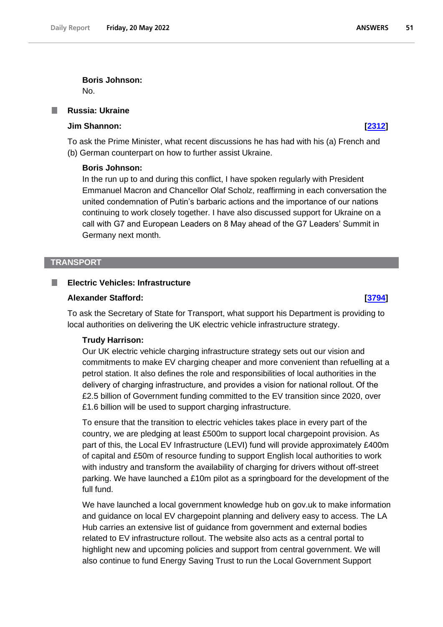**Boris Johnson:**

No.

## <span id="page-50-0"></span>**Russia: Ukraine**

## **Jim Shannon: [\[2312\]](http://www.parliament.uk/business/publications/written-questions-answers-statements/written-question/Commons/2022-05-16/2312)**

To ask the Prime Minister, what recent discussions he has had with his (a) French and (b) German counterpart on how to further assist Ukraine.

#### **Boris Johnson:**

In the run up to and during this conflict, I have spoken regularly with President Emmanuel Macron and Chancellor Olaf Scholz, reaffirming in each conversation the united condemnation of Putin's barbaric actions and the importance of our nations continuing to work closely together. I have also discussed support for Ukraine on a call with G7 and European Leaders on 8 May ahead of the G7 Leaders' Summit in Germany next month.

#### <span id="page-50-1"></span>**TRANSPORT**

#### <span id="page-50-2"></span>**Electric Vehicles: Infrastructure**

#### **Alexander Stafford: [\[3794\]](http://www.parliament.uk/business/publications/written-questions-answers-statements/written-question/Commons/2022-05-17/3794)**

To ask the Secretary of State for Transport, what support his Department is providing to local authorities on delivering the UK electric vehicle infrastructure strategy.

#### **Trudy Harrison:**

Our UK electric vehicle charging infrastructure strategy sets out our vision and commitments to make EV charging cheaper and more convenient than refuelling at a petrol station. It also defines the role and responsibilities of local authorities in the delivery of charging infrastructure, and provides a vision for national rollout. Of the £2.5 billion of Government funding committed to the EV transition since 2020, over £1.6 billion will be used to support charging infrastructure.

To ensure that the transition to electric vehicles takes place in every part of the country, we are pledging at least £500m to support local chargepoint provision. As part of this, the Local EV Infrastructure (LEVI) fund will provide approximately £400m of capital and £50m of resource funding to support English local authorities to work with industry and transform the availability of charging for drivers without off-street parking. We have launched a £10m pilot as a springboard for the development of the full fund.

We have launched a local government knowledge hub on gov.uk to make information and guidance on local EV chargepoint planning and delivery easy to access. The LA Hub carries an extensive list of guidance from government and external bodies related to EV infrastructure rollout. The website also acts as a central portal to highlight new and upcoming policies and support from central government. We will also continue to fund Energy Saving Trust to run the Local Government Support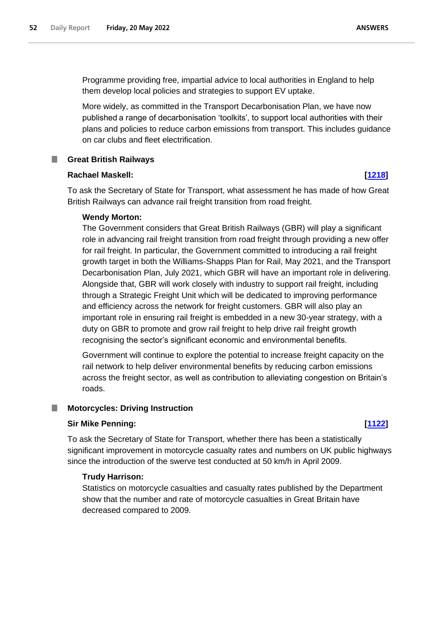Programme providing free, impartial advice to local authorities in England to help them develop local policies and strategies to support EV uptake.

More widely, as committed in the Transport Decarbonisation Plan, we have now published a range of decarbonisation 'toolkits', to support local authorities with their plans and policies to reduce carbon emissions from transport. This includes guidance on car clubs and fleet electrification.

### <span id="page-51-0"></span>**Great British Railways**

#### **Rachael Maskell: [\[1218\]](http://www.parliament.uk/business/publications/written-questions-answers-statements/written-question/Commons/2022-05-12/1218)**

To ask the Secretary of State for Transport, what assessment he has made of how Great British Railways can advance rail freight transition from road freight.

#### **Wendy Morton:**

The Government considers that Great British Railways (GBR) will play a significant role in advancing rail freight transition from road freight through providing a new offer for rail freight. In particular, the Government committed to introducing a rail freight growth target in both the Williams-Shapps Plan for Rail, May 2021, and the Transport Decarbonisation Plan, July 2021, which GBR will have an important role in delivering. Alongside that, GBR will work closely with industry to support rail freight, including through a Strategic Freight Unit which will be dedicated to improving performance and efficiency across the network for freight customers. GBR will also play an important role in ensuring rail freight is embedded in a new 30-year strategy, with a duty on GBR to promote and grow rail freight to help drive rail freight growth recognising the sector's significant economic and environmental benefits.

Government will continue to explore the potential to increase freight capacity on the rail network to help deliver environmental benefits by reducing carbon emissions across the freight sector, as well as contribution to alleviating congestion on Britain's roads.

#### <span id="page-51-1"></span>**Motorcycles: Driving Instruction**

### **Sir Mike Penning: [\[1122\]](http://www.parliament.uk/business/publications/written-questions-answers-statements/written-question/Commons/2022-05-12/1122)**

To ask the Secretary of State for Transport, whether there has been a statistically significant improvement in motorcycle casualty rates and numbers on UK public highways since the introduction of the swerve test conducted at 50 km/h in April 2009.

### **Trudy Harrison:**

Statistics on motorcycle casualties and casualty rates published by the Department show that the number and rate of motorcycle casualties in Great Britain have decreased compared to 2009.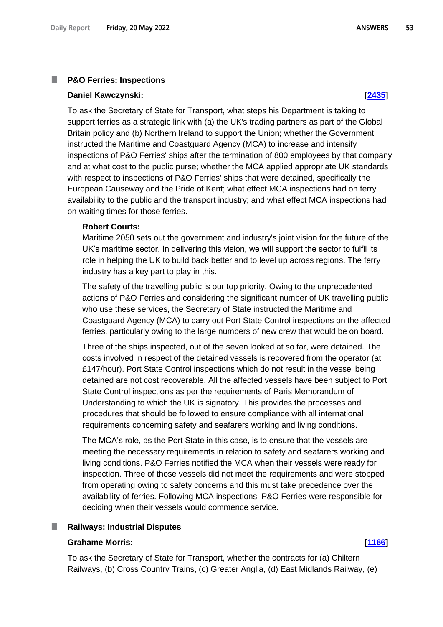#### <span id="page-52-0"></span>**P&O Ferries: Inspections**

#### **Daniel Kawczynski: [\[2435\]](http://www.parliament.uk/business/publications/written-questions-answers-statements/written-question/Commons/2022-05-16/2435)**

To ask the Secretary of State for Transport, what steps his Department is taking to support ferries as a strategic link with (a) the UK's trading partners as part of the Global Britain policy and (b) Northern Ireland to support the Union; whether the Government instructed the Maritime and Coastguard Agency (MCA) to increase and intensify inspections of P&O Ferries' ships after the termination of 800 employees by that company and at what cost to the public purse; whether the MCA applied appropriate UK standards with respect to inspections of P&O Ferries' ships that were detained, specifically the European Causeway and the Pride of Kent; what effect MCA inspections had on ferry availability to the public and the transport industry; and what effect MCA inspections had on waiting times for those ferries.

#### **Robert Courts:**

Maritime 2050 sets out the government and industry's joint vision for the future of the UK's maritime sector. In delivering this vision, we will support the sector to fulfil its role in helping the UK to build back better and to level up across regions. The ferry industry has a key part to play in this.

The safety of the travelling public is our top priority. Owing to the unprecedented actions of P&O Ferries and considering the significant number of UK travelling public who use these services, the Secretary of State instructed the Maritime and Coastguard Agency (MCA) to carry out Port State Control inspections on the affected ferries, particularly owing to the large numbers of new crew that would be on board.

Three of the ships inspected, out of the seven looked at so far, were detained. The costs involved in respect of the detained vessels is recovered from the operator (at £147/hour). Port State Control inspections which do not result in the vessel being detained are not cost recoverable. All the affected vessels have been subject to Port State Control inspections as per the requirements of Paris Memorandum of Understanding to which the UK is signatory. This provides the processes and procedures that should be followed to ensure compliance with all international requirements concerning safety and seafarers working and living conditions.

The MCA's role, as the Port State in this case, is to ensure that the vessels are meeting the necessary requirements in relation to safety and seafarers working and living conditions. P&O Ferries notified the MCA when their vessels were ready for inspection. Three of those vessels did not meet the requirements and were stopped from operating owing to safety concerns and this must take precedence over the availability of ferries. Following MCA inspections, P&O Ferries were responsible for deciding when their vessels would commence service.

#### <span id="page-52-1"></span>**Railways: Industrial Disputes**

#### **Grahame Morris: [\[1166\]](http://www.parliament.uk/business/publications/written-questions-answers-statements/written-question/Commons/2022-05-12/1166)**

To ask the Secretary of State for Transport, whether the contracts for (a) Chiltern Railways, (b) Cross Country Trains, (c) Greater Anglia, (d) East Midlands Railway, (e)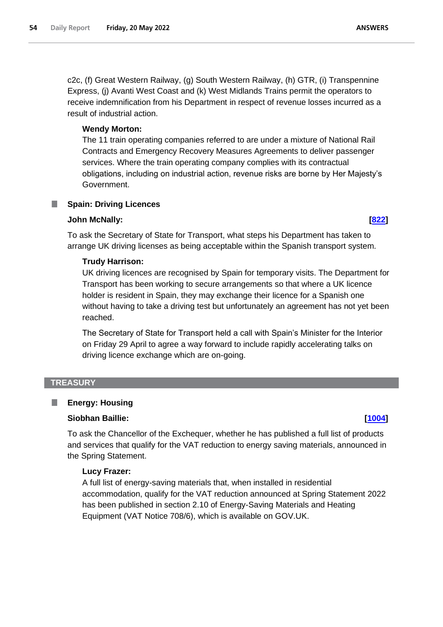c2c, (f) Great Western Railway, (g) South Western Railway, (h) GTR, (i) Transpennine Express, (j) Avanti West Coast and (k) West Midlands Trains permit the operators to receive indemnification from his Department in respect of revenue losses incurred as a result of industrial action.

## **Wendy Morton:**

The 11 train operating companies referred to are under a mixture of National Rail Contracts and Emergency Recovery Measures Agreements to deliver passenger services. Where the train operating company complies with its contractual obligations, including on industrial action, revenue risks are borne by Her Majesty's Government.

## <span id="page-53-0"></span>**Spain: Driving Licences**

#### **John McNally: [\[822\]](http://www.parliament.uk/business/publications/written-questions-answers-statements/written-question/Commons/2022-05-11/822)**

To ask the Secretary of State for Transport, what steps his Department has taken to arrange UK driving licenses as being acceptable within the Spanish transport system.

### **Trudy Harrison:**

UK driving licences are recognised by Spain for temporary visits. The Department for Transport has been working to secure arrangements so that where a UK licence holder is resident in Spain, they may exchange their licence for a Spanish one without having to take a driving test but unfortunately an agreement has not yet been reached.

The Secretary of State for Transport held a call with Spain's Minister for the Interior on Friday 29 April to agree a way forward to include rapidly accelerating talks on driving licence exchange which are on-going.

#### <span id="page-53-1"></span>**TREASURY**

#### <span id="page-53-2"></span>ш **Energy: Housing**

#### **Siobhan Baillie: [\[1004\]](http://www.parliament.uk/business/publications/written-questions-answers-statements/written-question/Commons/2022-05-11/1004)**

To ask the Chancellor of the Exchequer, whether he has published a full list of products and services that qualify for the VAT reduction to energy saving materials, announced in the Spring Statement.

#### **Lucy Frazer:**

A full list of energy-saving materials that, when installed in residential accommodation, qualify for the VAT reduction announced at Spring Statement 2022 has been published in section 2.10 of Energy-Saving Materials and Heating Equipment (VAT Notice 708/6), which is available on GOV.UK.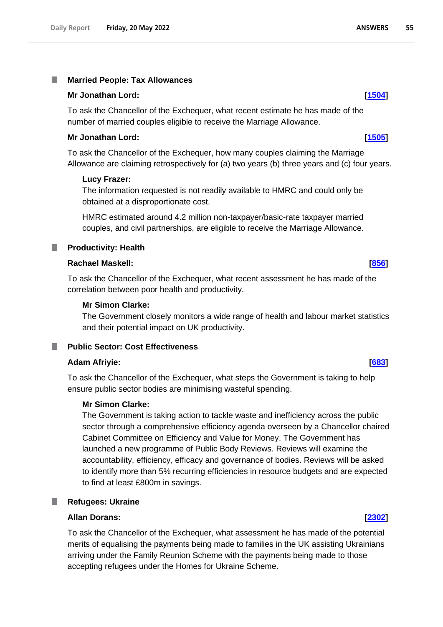#### <span id="page-54-0"></span>T. **Married People: Tax Allowances**

#### **Mr Jonathan Lord: [\[1504\]](http://www.parliament.uk/business/publications/written-questions-answers-statements/written-question/Commons/2022-05-13/1504)**

To ask the Chancellor of the Exchequer, what recent estimate he has made of the number of married couples eligible to receive the Marriage Allowance.

#### **Mr Jonathan Lord: [\[1505\]](http://www.parliament.uk/business/publications/written-questions-answers-statements/written-question/Commons/2022-05-13/1505)**

To ask the Chancellor of the Exchequer, how many couples claiming the Marriage Allowance are claiming retrospectively for (a) two years (b) three years and (c) four years.

#### **Lucy Frazer:**

The information requested is not readily available to HMRC and could only be obtained at a disproportionate cost.

HMRC estimated around 4.2 million non-taxpayer/basic-rate taxpayer married couples, and civil partnerships, are eligible to receive the Marriage Allowance.

<span id="page-54-1"></span>**Productivity: Health** .

#### **Rachael Maskell: [\[856\]](http://www.parliament.uk/business/publications/written-questions-answers-statements/written-question/Commons/2022-05-11/856)**

To ask the Chancellor of the Exchequer, what recent assessment he has made of the correlation between poor health and productivity.

### **Mr Simon Clarke:**

The Government closely monitors a wide range of health and labour market statistics and their potential impact on UK productivity.

#### <span id="page-54-2"></span>**Public Sector: Cost Effectiveness**

#### **Adam Afriyie: [\[683\]](http://www.parliament.uk/business/publications/written-questions-answers-statements/written-question/Commons/2022-05-11/683)**

To ask the Chancellor of the Exchequer, what steps the Government is taking to help ensure public sector bodies are minimising wasteful spending.

#### **Mr Simon Clarke:**

The Government is taking action to tackle waste and inefficiency across the public sector through a comprehensive efficiency agenda overseen by a Chancellor chaired Cabinet Committee on Efficiency and Value for Money. The Government has launched a new programme of Public Body Reviews. Reviews will examine the accountability, efficiency, efficacy and governance of bodies. Reviews will be asked to identify more than 5% recurring efficiencies in resource budgets and are expected to find at least £800m in savings.

#### <span id="page-54-3"></span>**Refugees: Ukraine** ш

## **Allan Dorans: [\[2302\]](http://www.parliament.uk/business/publications/written-questions-answers-statements/written-question/Commons/2022-05-16/2302)**

To ask the Chancellor of the Exchequer, what assessment he has made of the potential merits of equalising the payments being made to families in the UK assisting Ukrainians arriving under the Family Reunion Scheme with the payments being made to those accepting refugees under the Homes for Ukraine Scheme.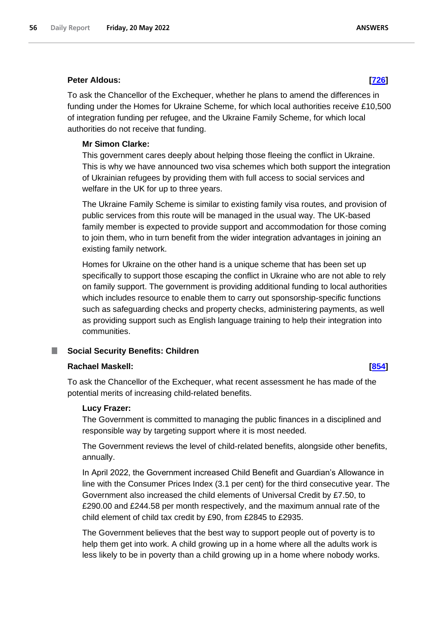### **Peter Aldous: [\[726\]](http://www.parliament.uk/business/publications/written-questions-answers-statements/written-question/Commons/2022-05-11/726)**

To ask the Chancellor of the Exchequer, whether he plans to amend the differences in funding under the Homes for Ukraine Scheme, for which local authorities receive £10,500 of integration funding per refugee, and the Ukraine Family Scheme, for which local authorities do not receive that funding.

## **Mr Simon Clarke:**

This government cares deeply about helping those fleeing the conflict in Ukraine. This is why we have announced two visa schemes which both support the integration of Ukrainian refugees by providing them with full access to social services and welfare in the UK for up to three years.

The Ukraine Family Scheme is similar to existing family visa routes, and provision of public services from this route will be managed in the usual way. The UK-based family member is expected to provide support and accommodation for those coming to join them, who in turn benefit from the wider integration advantages in joining an existing family network.

Homes for Ukraine on the other hand is a unique scheme that has been set up specifically to support those escaping the conflict in Ukraine who are not able to rely on family support. The government is providing additional funding to local authorities which includes resource to enable them to carry out sponsorship-specific functions such as safeguarding checks and property checks, administering payments, as well as providing support such as English language training to help their integration into communities.

## <span id="page-55-0"></span>**Social Security Benefits: Children**

## **Rachael Maskell: [\[854\]](http://www.parliament.uk/business/publications/written-questions-answers-statements/written-question/Commons/2022-05-11/854)**

To ask the Chancellor of the Exchequer, what recent assessment he has made of the potential merits of increasing child-related benefits.

#### **Lucy Frazer:**

The Government is committed to managing the public finances in a disciplined and responsible way by targeting support where it is most needed.

The Government reviews the level of child-related benefits, alongside other benefits, annually.

In April 2022, the Government increased Child Benefit and Guardian's Allowance in line with the Consumer Prices Index (3.1 per cent) for the third consecutive year. The Government also increased the child elements of Universal Credit by £7.50, to £290.00 and £244.58 per month respectively, and the maximum annual rate of the child element of child tax credit by £90, from £2845 to £2935.

The Government believes that the best way to support people out of poverty is to help them get into work. A child growing up in a home where all the adults work is less likely to be in poverty than a child growing up in a home where nobody works.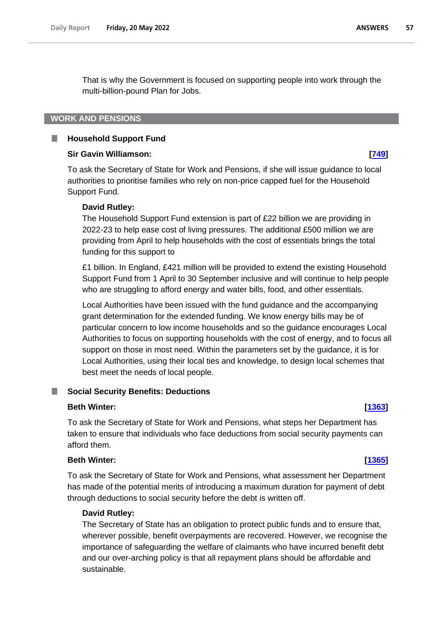That is why the Government is focused on supporting people into work through the multi-billion-pound Plan for Jobs.

### <span id="page-56-0"></span>**WORK AND PENSIONS**

#### <span id="page-56-1"></span>B **Household Support Fund**

#### **Sir Gavin Williamson: [\[749\]](http://www.parliament.uk/business/publications/written-questions-answers-statements/written-question/Commons/2022-05-11/749)**

To ask the Secretary of State for Work and Pensions, if she will issue guidance to local authorities to prioritise families who rely on non-price capped fuel for the Household Support Fund.

#### **David Rutley:**

The Household Support Fund extension is part of £22 billion we are providing in 2022-23 to help ease cost of living pressures. The additional £500 million we are providing from April to help households with the cost of essentials brings the total funding for this support to

£1 billion. In England, £421 million will be provided to extend the existing Household Support Fund from 1 April to 30 September inclusive and will continue to help people who are struggling to afford energy and water bills, food, and other essentials.

Local Authorities have been issued with the fund guidance and the accompanying grant determination for the extended funding. We know energy bills may be of particular concern to low income households and so the guidance encourages Local Authorities to focus on supporting households with the cost of energy, and to focus all support on those in most need. Within the parameters set by the guidance, it is for Local Authorities, using their local ties and knowledge, to design local schemes that best meet the needs of local people.

#### <span id="page-56-2"></span>**Social Security Benefits: Deductions**

### **Beth Winter: [\[1363\]](http://www.parliament.uk/business/publications/written-questions-answers-statements/written-question/Commons/2022-05-12/1363)**

To ask the Secretary of State for Work and Pensions, what steps her Department has taken to ensure that individuals who face deductions from social security payments can afford them.

#### **Beth Winter: [\[1365\]](http://www.parliament.uk/business/publications/written-questions-answers-statements/written-question/Commons/2022-05-12/1365)**

To ask the Secretary of State for Work and Pensions, what assessment her Department has made of the potential merits of introducing a maximum duration for payment of debt through deductions to social security before the debt is written off.

#### **David Rutley:**

The Secretary of State has an obligation to protect public funds and to ensure that, wherever possible, benefit overpayments are recovered. However, we recognise the importance of safeguarding the welfare of claimants who have incurred benefit debt and our over-arching policy is that all repayment plans should be affordable and sustainable.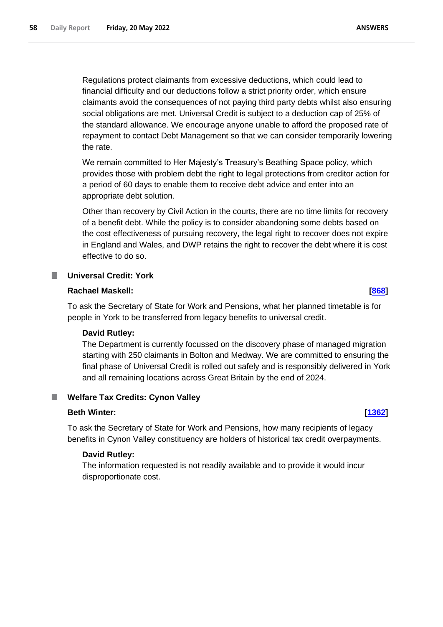Regulations protect claimants from excessive deductions, which could lead to financial difficulty and our deductions follow a strict priority order, which ensure claimants avoid the consequences of not paying third party debts whilst also ensuring social obligations are met. Universal Credit is subject to a deduction cap of 25% of the standard allowance. We encourage anyone unable to afford the proposed rate of repayment to contact Debt Management so that we can consider temporarily lowering the rate.

We remain committed to Her Majesty's Treasury's Beathing Space policy, which provides those with problem debt the right to legal protections from creditor action for a period of 60 days to enable them to receive debt advice and enter into an appropriate debt solution.

Other than recovery by Civil Action in the courts, there are no time limits for recovery of a benefit debt. While the policy is to consider abandoning some debts based on the cost effectiveness of pursuing recovery, the legal right to recover does not expire in England and Wales, and DWP retains the right to recover the debt where it is cost effective to do so.

### <span id="page-57-0"></span>**Universal Credit: York**

### **Rachael Maskell: [\[868\]](http://www.parliament.uk/business/publications/written-questions-answers-statements/written-question/Commons/2022-05-11/868)**

To ask the Secretary of State for Work and Pensions, what her planned timetable is for people in York to be transferred from legacy benefits to universal credit.

#### **David Rutley:**

The Department is currently focussed on the discovery phase of managed migration starting with 250 claimants in Bolton and Medway. We are committed to ensuring the final phase of Universal Credit is rolled out safely and is responsibly delivered in York and all remaining locations across Great Britain by the end of 2024.

#### <span id="page-57-1"></span>**Welfare Tax Credits: Cynon Valley**

#### **Beth Winter: [\[1362\]](http://www.parliament.uk/business/publications/written-questions-answers-statements/written-question/Commons/2022-05-12/1362)**

To ask the Secretary of State for Work and Pensions, how many recipients of legacy benefits in Cynon Valley constituency are holders of historical tax credit overpayments.

#### **David Rutley:**

The information requested is not readily available and to provide it would incur disproportionate cost.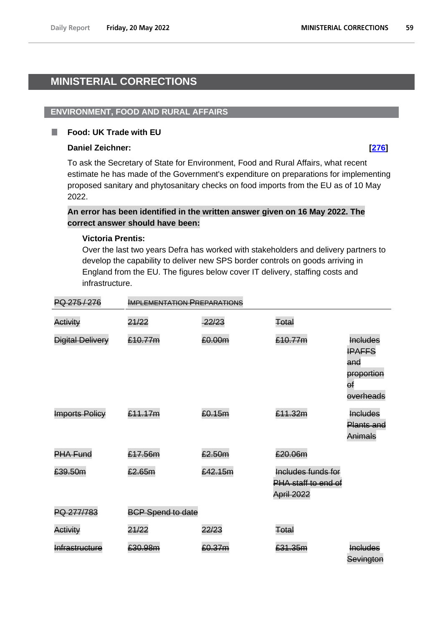# <span id="page-58-0"></span>**MINISTERIAL CORRECTIONS**

## <span id="page-58-1"></span>**ENVIRONMENT, FOOD AND RURAL AFFAIRS**

#### <span id="page-58-2"></span>**Food: UK Trade with EU** П

## **Daniel Zeichner: [\[276\]](http://www.parliament.uk/business/publications/written-questions-answers-statements/written-question/Commons/2022-05-10/276)**

To ask the Secretary of State for Environment, Food and Rural Affairs, what recent estimate he has made of the Government's expenditure on preparations for implementing proposed sanitary and phytosanitary checks on food imports from the EU as of 10 May 2022.

## **An error has been identified in the written answer given on 16 May 2022. The correct answer should have been:**

## **Victoria Prentis:**

Over the last two years Defra has worked with stakeholders and delivery partners to develop the capability to deliver new SPS border controls on goods arriving in England from the EU. The figures below cover IT delivery, staffing costs and infrastructure.

| PQ 275/276              | <b>IMPLEMENTATION PREPARATIONS</b> |         |                                                         |                                                                          |
|-------------------------|------------------------------------|---------|---------------------------------------------------------|--------------------------------------------------------------------------|
| Activity                | 21/22                              | 22/23   | Total                                                   |                                                                          |
| <b>Digital Delivery</b> | £10.77m                            | £0.00m  | £10.77m                                                 | <b>Includes</b><br><b>IPAFFS</b><br>and<br>proportion<br>θŧ<br>overheads |
| <b>Imports Policy</b>   | £11.17m                            | £0.15m  | £11.32m                                                 | <b>Includes</b><br><b>Plants and</b><br>Animals                          |
| <b>PHA Fund</b>         | £17.56m                            | £2.50m  | £20.06m                                                 |                                                                          |
| £39.50m                 | £2.65m                             | £42.15m | Includes funds for<br>PHA staff to end of<br>April 2022 |                                                                          |
| PQ 277/783              | <b>BCP Spend to date</b>           |         |                                                         |                                                                          |
| Activity                | 21/22                              | 22/23   | Total                                                   |                                                                          |
| Infrastructure          | £30.98m                            | £0.37m  | £31.35m                                                 | <b>Includes</b><br>Sevington                                             |